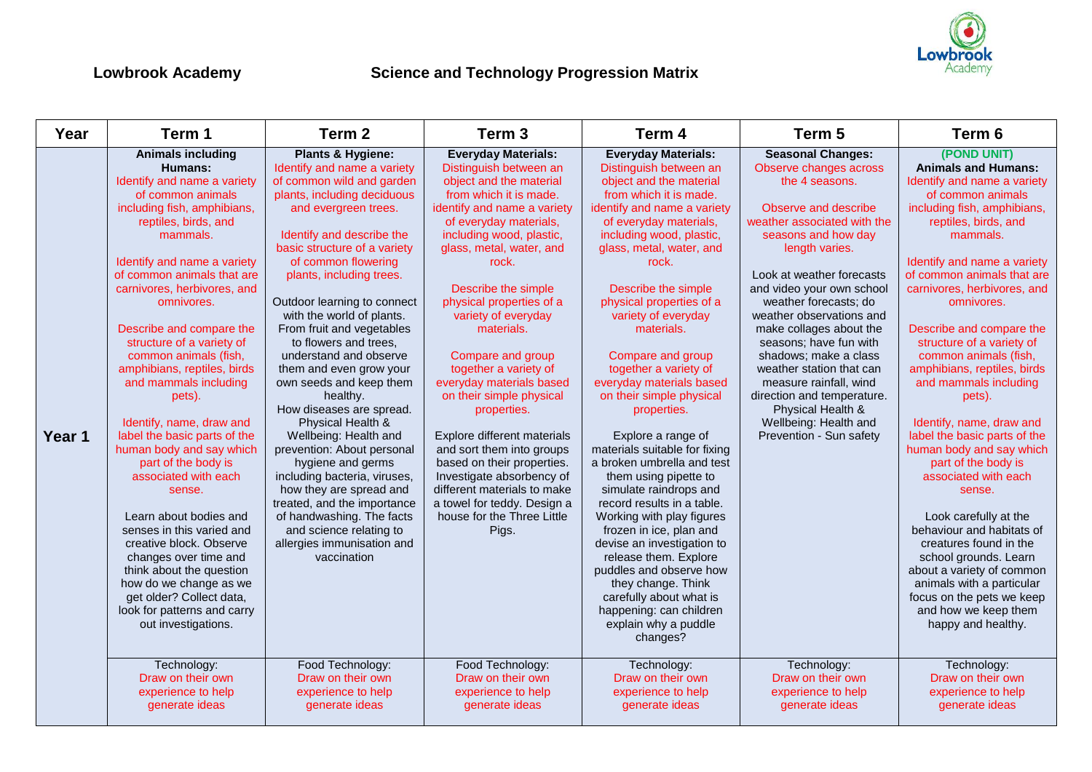

| Year   | Term 1                                                                                                                                                                                                                                                                                                                                                                                                                                                                                                                                                                                                                                                                                                                                                                                                                                                                                 | Term <sub>2</sub>                                                                                                                                                                                                                                                                                                                                                                                                                                                                                                                                                                                                                                                                                                                                                                                                                                             | Term <sub>3</sub>                                                                                                                                                                                                                                                                                                                                                                                                                                                                                                                                                                                                                                                                                                                           | Term 4                                                                                                                                                                                                                                                                                                                                                                                                                                                                                                                                                                                                                                                                                                                                                                                                                                                                                                                                     | Term <sub>5</sub>                                                                                                                                                                                                                                                                                                                                                                                                                                                                                                                                                                        | Term <sub>6</sub>                                                                                                                                                                                                                                                                                                                                                                                                                                                                                                                                                                                                                                                                                                                                                                                                                                                                       |
|--------|----------------------------------------------------------------------------------------------------------------------------------------------------------------------------------------------------------------------------------------------------------------------------------------------------------------------------------------------------------------------------------------------------------------------------------------------------------------------------------------------------------------------------------------------------------------------------------------------------------------------------------------------------------------------------------------------------------------------------------------------------------------------------------------------------------------------------------------------------------------------------------------|---------------------------------------------------------------------------------------------------------------------------------------------------------------------------------------------------------------------------------------------------------------------------------------------------------------------------------------------------------------------------------------------------------------------------------------------------------------------------------------------------------------------------------------------------------------------------------------------------------------------------------------------------------------------------------------------------------------------------------------------------------------------------------------------------------------------------------------------------------------|---------------------------------------------------------------------------------------------------------------------------------------------------------------------------------------------------------------------------------------------------------------------------------------------------------------------------------------------------------------------------------------------------------------------------------------------------------------------------------------------------------------------------------------------------------------------------------------------------------------------------------------------------------------------------------------------------------------------------------------------|--------------------------------------------------------------------------------------------------------------------------------------------------------------------------------------------------------------------------------------------------------------------------------------------------------------------------------------------------------------------------------------------------------------------------------------------------------------------------------------------------------------------------------------------------------------------------------------------------------------------------------------------------------------------------------------------------------------------------------------------------------------------------------------------------------------------------------------------------------------------------------------------------------------------------------------------|------------------------------------------------------------------------------------------------------------------------------------------------------------------------------------------------------------------------------------------------------------------------------------------------------------------------------------------------------------------------------------------------------------------------------------------------------------------------------------------------------------------------------------------------------------------------------------------|-----------------------------------------------------------------------------------------------------------------------------------------------------------------------------------------------------------------------------------------------------------------------------------------------------------------------------------------------------------------------------------------------------------------------------------------------------------------------------------------------------------------------------------------------------------------------------------------------------------------------------------------------------------------------------------------------------------------------------------------------------------------------------------------------------------------------------------------------------------------------------------------|
| Year 1 | <b>Animals including</b><br>Humans:<br>Identify and name a variety<br>of common animals<br>including fish, amphibians,<br>reptiles, birds, and<br>mammals.<br>Identify and name a variety<br>of common animals that are<br>carnivores, herbivores, and<br>omnivores.<br>Describe and compare the<br>structure of a variety of<br>common animals (fish,<br>amphibians, reptiles, birds<br>and mammals including<br>pets).<br>Identify, name, draw and<br>label the basic parts of the<br>human body and say which<br>part of the body is<br>associated with each<br>sense.<br>Learn about bodies and<br>senses in this varied and<br>creative block. Observe<br>changes over time and<br>think about the question<br>how do we change as we<br>get older? Collect data,<br>look for patterns and carry<br>out investigations.<br>Technology:<br>Draw on their own<br>experience to help | Plants & Hygiene:<br>Identify and name a variety<br>of common wild and garden<br>plants, including deciduous<br>and evergreen trees.<br>Identify and describe the<br>basic structure of a variety<br>of common flowering<br>plants, including trees.<br>Outdoor learning to connect<br>with the world of plants.<br>From fruit and vegetables<br>to flowers and trees,<br>understand and observe<br>them and even grow your<br>own seeds and keep them<br>healthy.<br>How diseases are spread.<br>Physical Health &<br>Wellbeing: Health and<br>prevention: About personal<br>hygiene and germs<br>including bacteria, viruses,<br>how they are spread and<br>treated, and the importance<br>of handwashing. The facts<br>and science relating to<br>allergies immunisation and<br>vaccination<br>Food Technology:<br>Draw on their own<br>experience to help | <b>Everyday Materials:</b><br>Distinguish between an<br>object and the material<br>from which it is made.<br>identify and name a variety<br>of everyday materials,<br>including wood, plastic,<br>glass, metal, water, and<br>rock.<br>Describe the simple<br>physical properties of a<br>variety of everyday<br>materials.<br>Compare and group<br>together a variety of<br>everyday materials based<br>on their simple physical<br>properties.<br>Explore different materials<br>and sort them into groups<br>based on their properties.<br>Investigate absorbency of<br>different materials to make<br>a towel for teddy. Design a<br>house for the Three Little<br>Pigs.<br>Food Technology:<br>Draw on their own<br>experience to help | <b>Everyday Materials:</b><br>Distinguish between an<br>object and the material<br>from which it is made.<br>identify and name a variety<br>of everyday materials,<br>including wood, plastic,<br>glass, metal, water, and<br>rock.<br>Describe the simple<br>physical properties of a<br>variety of everyday<br>materials.<br>Compare and group<br>together a variety of<br>everyday materials based<br>on their simple physical<br>properties.<br>Explore a range of<br>materials suitable for fixing<br>a broken umbrella and test<br>them using pipette to<br>simulate raindrops and<br>record results in a table.<br>Working with play figures<br>frozen in ice, plan and<br>devise an investigation to<br>release them. Explore<br>puddles and observe how<br>they change. Think<br>carefully about what is<br>happening: can children<br>explain why a puddle<br>changes?<br>Technology:<br>Draw on their own<br>experience to help | <b>Seasonal Changes:</b><br>Observe changes across<br>the 4 seasons.<br>Observe and describe<br>weather associated with the<br>seasons and how day<br>length varies.<br>Look at weather forecasts<br>and video your own school<br>weather forecasts; do<br>weather observations and<br>make collages about the<br>seasons; have fun with<br>shadows; make a class<br>weather station that can<br>measure rainfall, wind<br>direction and temperature.<br>Physical Health &<br>Wellbeing: Health and<br>Prevention - Sun safety<br>Technology:<br>Draw on their own<br>experience to help | (POND UNIT)<br><b>Animals and Humans:</b><br>Identify and name a variety<br>of common animals<br>including fish, amphibians,<br>reptiles, birds, and<br>mammals.<br>Identify and name a variety<br>of common animals that are<br>carnivores, herbivores, and<br>omnivores.<br>Describe and compare the<br>structure of a variety of<br>common animals (fish,<br>amphibians, reptiles, birds<br>and mammals including<br>pets).<br>Identify, name, draw and<br>label the basic parts of the<br>human body and say which<br>part of the body is<br>associated with each<br>sense.<br>Look carefully at the<br>behaviour and habitats of<br>creatures found in the<br>school grounds. Learn<br>about a variety of common<br>animals with a particular<br>focus on the pets we keep<br>and how we keep them<br>happy and healthy.<br>Technology:<br>Draw on their own<br>experience to help |
|        | generate ideas                                                                                                                                                                                                                                                                                                                                                                                                                                                                                                                                                                                                                                                                                                                                                                                                                                                                         | generate ideas                                                                                                                                                                                                                                                                                                                                                                                                                                                                                                                                                                                                                                                                                                                                                                                                                                                | generate ideas                                                                                                                                                                                                                                                                                                                                                                                                                                                                                                                                                                                                                                                                                                                              | generate ideas                                                                                                                                                                                                                                                                                                                                                                                                                                                                                                                                                                                                                                                                                                                                                                                                                                                                                                                             | generate ideas                                                                                                                                                                                                                                                                                                                                                                                                                                                                                                                                                                           | generate ideas                                                                                                                                                                                                                                                                                                                                                                                                                                                                                                                                                                                                                                                                                                                                                                                                                                                                          |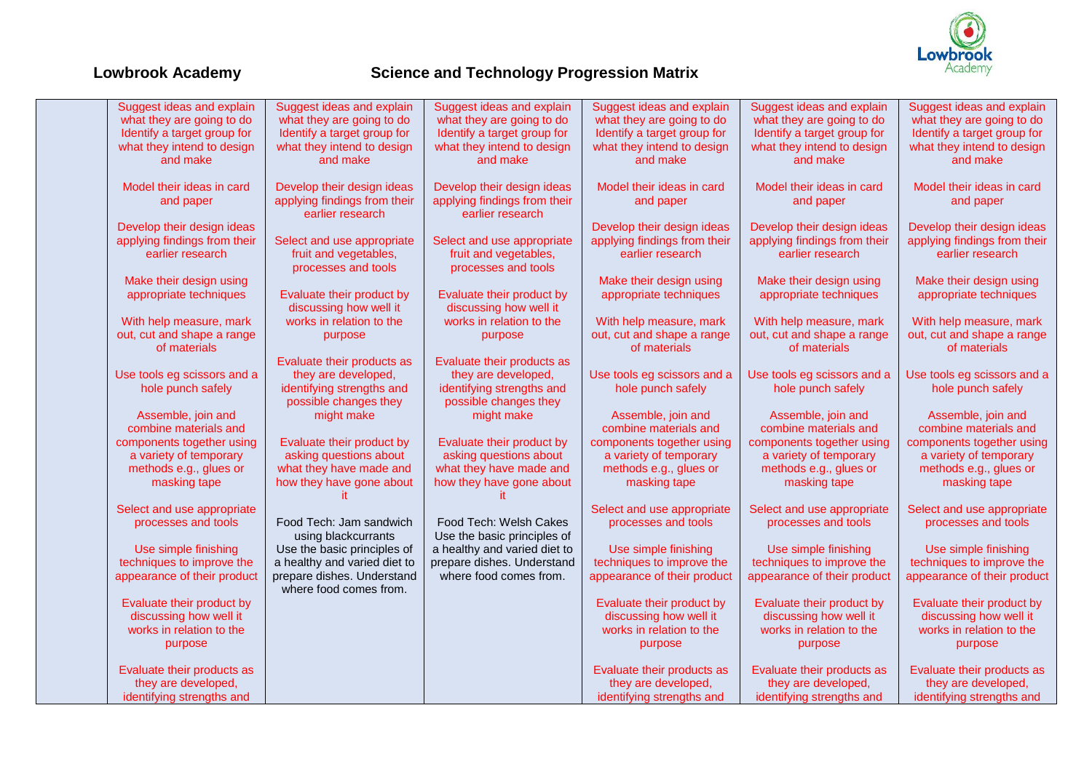

| Suggest ideas and explain    | Suggest ideas and explain    | Suggest ideas and explain    | Suggest ideas and explain    | Suggest ideas and explain    | Suggest ideas and explain    |
|------------------------------|------------------------------|------------------------------|------------------------------|------------------------------|------------------------------|
| what they are going to do    | what they are going to do    | what they are going to do    | what they are going to do    | what they are going to do    | what they are going to do    |
| Identify a target group for  | Identify a target group for  | Identify a target group for  | Identify a target group for  | Identify a target group for  | Identify a target group for  |
| what they intend to design   | what they intend to design   | what they intend to design   | what they intend to design   | what they intend to design   | what they intend to design   |
| and make                     | and make                     | and make                     | and make                     | and make                     | and make                     |
|                              |                              |                              |                              |                              |                              |
| Model their ideas in card    | Develop their design ideas   | Develop their design ideas   | Model their ideas in card    | Model their ideas in card    | Model their ideas in card    |
| and paper                    | applying findings from their | applying findings from their | and paper                    | and paper                    | and paper                    |
|                              | earlier research             | earlier research             |                              |                              |                              |
| Develop their design ideas   |                              |                              | Develop their design ideas   | Develop their design ideas   | Develop their design ideas   |
| applying findings from their | Select and use appropriate   | Select and use appropriate   | applying findings from their | applying findings from their | applying findings from their |
| earlier research             | fruit and vegetables,        | fruit and vegetables,        | earlier research             | earlier research             | earlier research             |
|                              | processes and tools          | processes and tools          |                              |                              |                              |
| Make their design using      |                              |                              | Make their design using      | Make their design using      | Make their design using      |
| appropriate techniques       | Evaluate their product by    | Evaluate their product by    | appropriate techniques       | appropriate techniques       | appropriate techniques       |
|                              | discussing how well it       | discussing how well it       |                              |                              |                              |
| With help measure, mark      | works in relation to the     | works in relation to the     | With help measure, mark      | With help measure, mark      | With help measure, mark      |
| out, cut and shape a range   | purpose                      | purpose                      | out, cut and shape a range   | out, cut and shape a range   | out, cut and shape a range   |
| of materials                 |                              |                              | of materials                 | of materials                 | of materials                 |
|                              | Evaluate their products as   | Evaluate their products as   |                              |                              |                              |
| Use tools eg scissors and a  | they are developed,          | they are developed,          | Use tools eg scissors and a  | Use tools eg scissors and a  | Use tools eg scissors and a  |
| hole punch safely            | identifying strengths and    | identifying strengths and    | hole punch safely            | hole punch safely            | hole punch safely            |
|                              | possible changes they        | possible changes they        |                              |                              |                              |
| Assemble, join and           | might make                   | might make                   | Assemble, join and           | Assemble, join and           | Assemble, join and           |
| combine materials and        |                              |                              | combine materials and        | combine materials and        | combine materials and        |
| components together using    | Evaluate their product by    | Evaluate their product by    | components together using    | components together using    | components together using    |
| a variety of temporary       | asking questions about       | asking questions about       | a variety of temporary       | a variety of temporary       | a variety of temporary       |
| methods e.g., glues or       | what they have made and      | what they have made and      | methods e.g., glues or       | methods e.g., glues or       | methods e.g., glues or       |
| masking tape                 | how they have gone about     | how they have gone about     | masking tape                 | masking tape                 | masking tape                 |
|                              |                              |                              |                              |                              |                              |
| Select and use appropriate   |                              |                              | Select and use appropriate   | Select and use appropriate   | Select and use appropriate   |
| processes and tools          | Food Tech: Jam sandwich      | Food Tech: Welsh Cakes       | processes and tools          | processes and tools          | processes and tools          |
|                              | using blackcurrants          | Use the basic principles of  |                              |                              |                              |
| Use simple finishing         | Use the basic principles of  | a healthy and varied diet to | Use simple finishing         | Use simple finishing         | Use simple finishing         |
| techniques to improve the    | a healthy and varied diet to | prepare dishes. Understand   | techniques to improve the    | techniques to improve the    | techniques to improve the    |
| appearance of their product  | prepare dishes. Understand   | where food comes from.       | appearance of their product  | appearance of their product  | appearance of their product  |
|                              | where food comes from.       |                              |                              |                              |                              |
| Evaluate their product by    |                              |                              | Evaluate their product by    | Evaluate their product by    | Evaluate their product by    |
| discussing how well it       |                              |                              | discussing how well it       | discussing how well it       | discussing how well it       |
| works in relation to the     |                              |                              | works in relation to the     | works in relation to the     | works in relation to the     |
| purpose                      |                              |                              | purpose                      | purpose                      | purpose                      |
|                              |                              |                              |                              |                              |                              |
| Evaluate their products as   |                              |                              | Evaluate their products as   | Evaluate their products as   | Evaluate their products as   |
| they are developed,          |                              |                              | they are developed,          | they are developed,          | they are developed,          |
| identifying strengths and    |                              |                              | identifying strengths and    | identifying strengths and    | identifying strengths and    |
|                              |                              |                              |                              |                              |                              |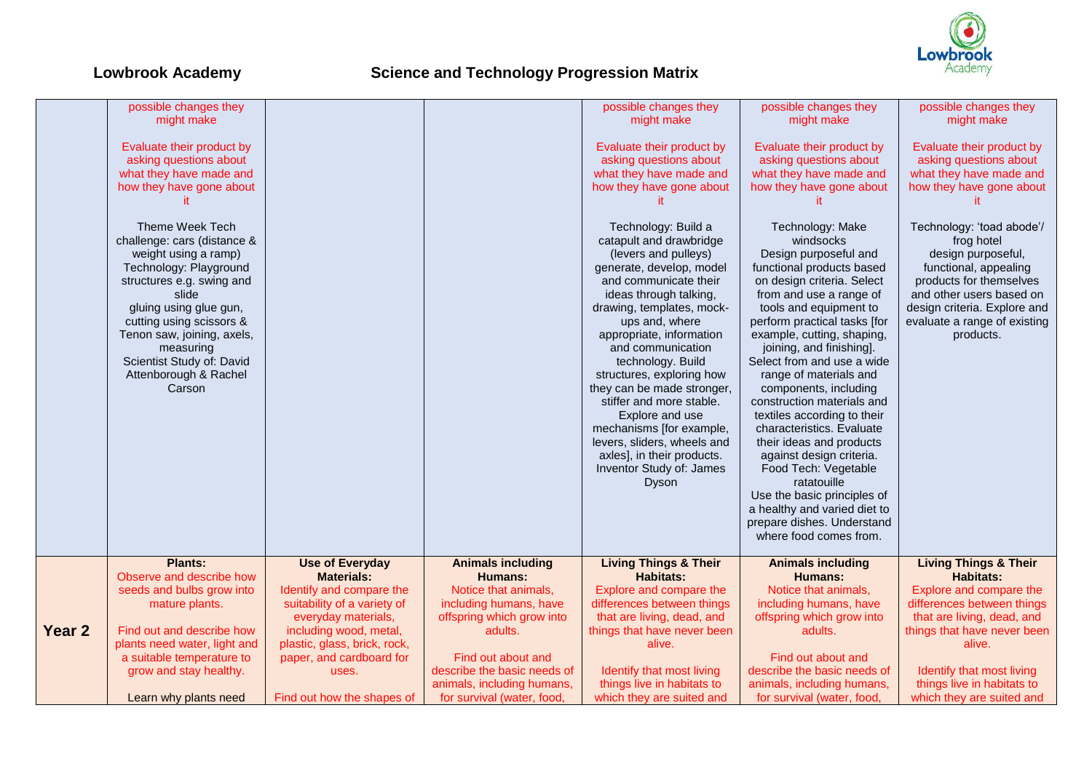

|        | possible changes they        |                              |                             | possible changes they            | possible changes they        | possible changes they            |
|--------|------------------------------|------------------------------|-----------------------------|----------------------------------|------------------------------|----------------------------------|
|        | might make                   |                              |                             | might make                       | might make                   | might make                       |
|        |                              |                              |                             |                                  |                              |                                  |
|        | Evaluate their product by    |                              |                             | Evaluate their product by        | Evaluate their product by    | Evaluate their product by        |
|        | asking questions about       |                              |                             | asking questions about           | asking questions about       | asking questions about           |
|        | what they have made and      |                              |                             | what they have made and          | what they have made and      | what they have made and          |
|        | how they have gone about     |                              |                             | how they have gone about         | how they have gone about     | how they have gone about         |
|        |                              |                              |                             |                                  |                              |                                  |
|        |                              |                              |                             |                                  |                              |                                  |
|        | Theme Week Tech              |                              |                             | Technology: Build a              | Technology: Make             | Technology: 'toad abode'/        |
|        |                              |                              |                             |                                  |                              |                                  |
|        | challenge: cars (distance &  |                              |                             | catapult and drawbridge          | windsocks                    | frog hotel                       |
|        | weight using a ramp)         |                              |                             | (levers and pulleys)             | Design purposeful and        | design purposeful,               |
|        | Technology: Playground       |                              |                             | generate, develop, model         | functional products based    | functional, appealing            |
|        | structures e.g. swing and    |                              |                             | and communicate their            | on design criteria. Select   | products for themselves          |
|        | slide                        |                              |                             | ideas through talking,           | from and use a range of      | and other users based on         |
|        | gluing using glue gun,       |                              |                             | drawing, templates, mock-        | tools and equipment to       | design criteria. Explore and     |
|        | cutting using scissors &     |                              |                             | ups and, where                   | perform practical tasks [for | evaluate a range of existing     |
|        | Tenon saw, joining, axels,   |                              |                             | appropriate, information         | example, cutting, shaping,   | products.                        |
|        | measuring                    |                              |                             | and communication                | joining, and finishing].     |                                  |
|        | Scientist Study of: David    |                              |                             | technology. Build                | Select from and use a wide   |                                  |
|        | Attenborough & Rachel        |                              |                             | structures, exploring how        | range of materials and       |                                  |
|        | Carson                       |                              |                             | they can be made stronger,       | components, including        |                                  |
|        |                              |                              |                             | stiffer and more stable.         | construction materials and   |                                  |
|        |                              |                              |                             |                                  |                              |                                  |
|        |                              |                              |                             | Explore and use                  | textiles according to their  |                                  |
|        |                              |                              |                             | mechanisms [for example,         | characteristics. Evaluate    |                                  |
|        |                              |                              |                             | levers, sliders, wheels and      | their ideas and products     |                                  |
|        |                              |                              |                             | axles], in their products.       | against design criteria.     |                                  |
|        |                              |                              |                             | Inventor Study of: James         | Food Tech: Vegetable         |                                  |
|        |                              |                              |                             | Dyson                            | ratatouille                  |                                  |
|        |                              |                              |                             |                                  | Use the basic principles of  |                                  |
|        |                              |                              |                             |                                  | a healthy and varied diet to |                                  |
|        |                              |                              |                             |                                  | prepare dishes. Understand   |                                  |
|        |                              |                              |                             |                                  | where food comes from.       |                                  |
|        |                              |                              |                             |                                  |                              |                                  |
|        | <b>Plants:</b>               | <b>Use of Everyday</b>       | <b>Animals including</b>    | <b>Living Things &amp; Their</b> | <b>Animals including</b>     | <b>Living Things &amp; Their</b> |
|        | Observe and describe how     | <b>Materials:</b>            | <b>Humans:</b>              | <b>Habitats:</b>                 | <b>Humans:</b>               | <b>Habitats:</b>                 |
|        | seeds and bulbs grow into    | Identify and compare the     | Notice that animals,        | Explore and compare the          | Notice that animals,         | Explore and compare the          |
|        | mature plants.               | suitability of a variety of  | including humans, have      | differences between things       | including humans, have       | differences between things       |
|        |                              | everyday materials,          | offspring which grow into   | that are living, dead, and       | offspring which grow into    | that are living, dead, and       |
| Year 2 | Find out and describe how    | including wood, metal,       | adults.                     | things that have never been      | adults.                      | things that have never been      |
|        | plants need water, light and | plastic, glass, brick, rock, |                             | alive.                           |                              | alive.                           |
|        | a suitable temperature to    | paper, and cardboard for     | Find out about and          |                                  | Find out about and           |                                  |
|        | grow and stay healthy.       | uses.                        | describe the basic needs of | Identify that most living        | describe the basic needs of  | Identify that most living        |
|        |                              |                              | animals, including humans,  | things live in habitats to       | animals, including humans,   | things live in habitats to       |
|        |                              |                              | for survival (water, food,  | which they are suited and        | for survival (water, food,   | which they are suited and        |
|        | Learn why plants need        | Find out how the shapes of   |                             |                                  |                              |                                  |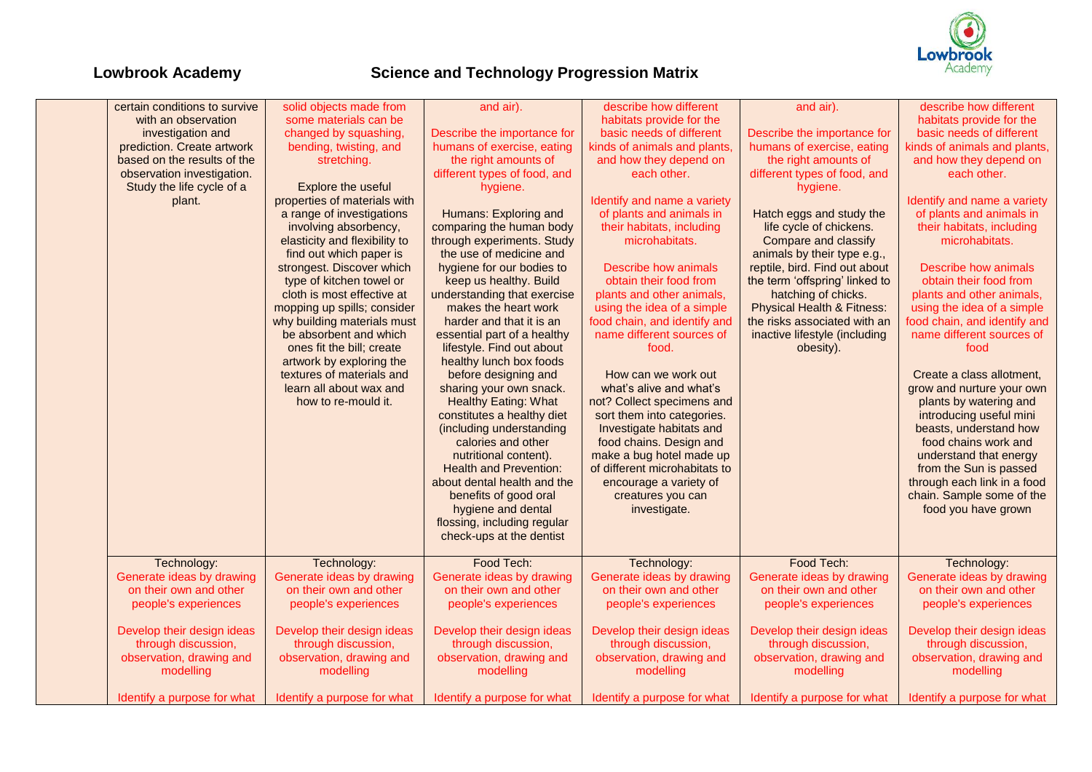

| certain conditions to survive                     | solid objects made from                               | and air).                                            | describe how different                            | and air).                                         | describe how different                            |
|---------------------------------------------------|-------------------------------------------------------|------------------------------------------------------|---------------------------------------------------|---------------------------------------------------|---------------------------------------------------|
| with an observation                               | some materials can be                                 |                                                      | habitats provide for the                          |                                                   | habitats provide for the                          |
| investigation and                                 | changed by squashing,                                 | Describe the importance for                          | basic needs of different                          | Describe the importance for                       | basic needs of different                          |
| prediction. Create artwork                        | bending, twisting, and                                | humans of exercise, eating                           | kinds of animals and plants,                      | humans of exercise, eating                        | kinds of animals and plants,                      |
| based on the results of the                       | stretching.                                           | the right amounts of                                 | and how they depend on                            | the right amounts of                              | and how they depend on                            |
| observation investigation.                        |                                                       | different types of food, and                         | each other.                                       | different types of food, and                      | each other.                                       |
| Study the life cycle of a                         | Explore the useful                                    | hygiene.                                             |                                                   | hygiene.                                          |                                                   |
| plant.                                            | properties of materials with                          |                                                      | Identify and name a variety                       |                                                   | Identify and name a variety                       |
|                                                   | a range of investigations                             | Humans: Exploring and                                | of plants and animals in                          | Hatch eggs and study the                          | of plants and animals in                          |
|                                                   | involving absorbency,                                 | comparing the human body                             | their habitats, including                         | life cycle of chickens.                           | their habitats, including                         |
|                                                   | elasticity and flexibility to                         | through experiments. Study                           | microhabitats.                                    | Compare and classify                              | microhabitats.                                    |
|                                                   | find out which paper is                               | the use of medicine and                              |                                                   | animals by their type e.g.,                       |                                                   |
|                                                   | strongest. Discover which                             | hygiene for our bodies to                            | Describe how animals                              | reptile, bird. Find out about                     | <b>Describe how animals</b>                       |
|                                                   | type of kitchen towel or                              | keep us healthy. Build                               | obtain their food from                            | the term 'offspring' linked to                    | obtain their food from                            |
|                                                   | cloth is most effective at                            | understanding that exercise                          | plants and other animals,                         | hatching of chicks.                               | plants and other animals,                         |
|                                                   | mopping up spills; consider                           | makes the heart work                                 | using the idea of a simple                        | <b>Physical Health &amp; Fitness:</b>             | using the idea of a simple                        |
|                                                   |                                                       | harder and that it is an                             | food chain, and identify and                      | the risks associated with an                      | food chain, and identify and                      |
|                                                   | why building materials must<br>be absorbent and which |                                                      | name different sources of                         |                                                   | name different sources of                         |
|                                                   | ones fit the bill; create                             | essential part of a healthy                          |                                                   | inactive lifestyle (including                     | food                                              |
|                                                   |                                                       | lifestyle. Find out about<br>healthy lunch box foods | food.                                             | obesity).                                         |                                                   |
|                                                   | artwork by exploring the<br>textures of materials and |                                                      | How can we work out                               |                                                   | Create a class allotment,                         |
|                                                   | learn all about wax and                               | before designing and                                 | what's alive and what's                           |                                                   |                                                   |
|                                                   |                                                       | sharing your own snack.                              |                                                   |                                                   | grow and nurture your own                         |
|                                                   | how to re-mould it.                                   | <b>Healthy Eating: What</b>                          | not? Collect specimens and                        |                                                   | plants by watering and                            |
|                                                   |                                                       | constitutes a healthy diet                           | sort them into categories.                        |                                                   | introducing useful mini                           |
|                                                   |                                                       | (including understanding                             | Investigate habitats and                          |                                                   | beasts, understand how                            |
|                                                   |                                                       | calories and other                                   | food chains. Design and                           |                                                   | food chains work and                              |
|                                                   |                                                       | nutritional content).                                | make a bug hotel made up                          |                                                   | understand that energy                            |
|                                                   |                                                       | <b>Health and Prevention:</b>                        | of different microhabitats to                     |                                                   | from the Sun is passed                            |
|                                                   |                                                       | about dental health and the                          | encourage a variety of                            |                                                   | through each link in a food                       |
|                                                   |                                                       | benefits of good oral                                | creatures you can                                 |                                                   | chain. Sample some of the                         |
|                                                   |                                                       | hygiene and dental                                   | investigate.                                      |                                                   | food you have grown                               |
|                                                   |                                                       | flossing, including regular                          |                                                   |                                                   |                                                   |
|                                                   |                                                       | check-ups at the dentist                             |                                                   |                                                   |                                                   |
|                                                   |                                                       |                                                      |                                                   |                                                   |                                                   |
| Technology:                                       | Technology:                                           | Food Tech:                                           | Technology:                                       | Food Tech:                                        | Technology:                                       |
| Generate ideas by drawing                         | Generate ideas by drawing                             | Generate ideas by drawing                            | Generate ideas by drawing                         | Generate ideas by drawing                         | Generate ideas by drawing                         |
| on their own and other                            | on their own and other                                | on their own and other                               | on their own and other                            | on their own and other                            | on their own and other                            |
| people's experiences                              | people's experiences                                  | people's experiences                                 | people's experiences                              | people's experiences                              | people's experiences                              |
|                                                   |                                                       |                                                      |                                                   |                                                   |                                                   |
| Develop their design ideas<br>through discussion, | Develop their design ideas<br>through discussion,     | Develop their design ideas<br>through discussion,    | Develop their design ideas<br>through discussion, | Develop their design ideas<br>through discussion, | Develop their design ideas<br>through discussion, |
|                                                   |                                                       |                                                      |                                                   |                                                   |                                                   |
| observation, drawing and                          | observation, drawing and                              | observation, drawing and                             | observation, drawing and                          | observation, drawing and                          | observation, drawing and                          |
| modelling                                         | modelling                                             | modelling                                            | modelling                                         | modelling                                         | modelling                                         |
| Identify a purpose for what                       | Identify a purpose for what                           | Identify a purpose for what                          | Identify a purpose for what                       | Identify a purpose for what                       | Identify a purpose for what                       |
|                                                   |                                                       |                                                      |                                                   |                                                   |                                                   |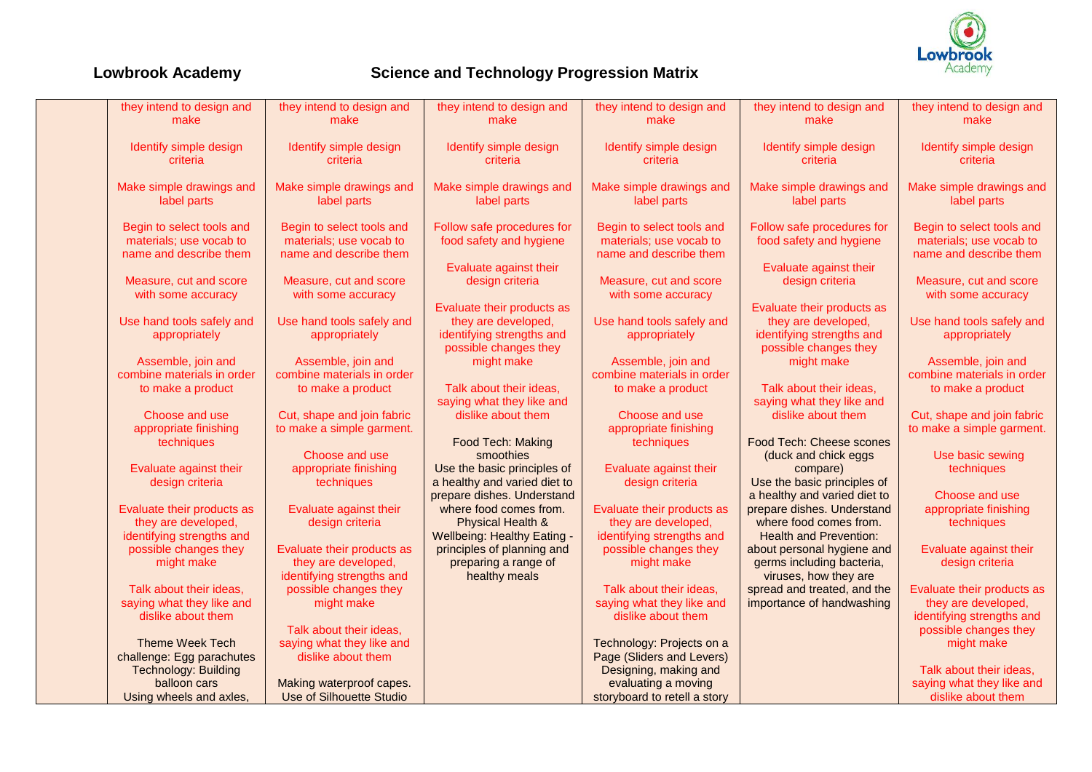

| they intend to design and<br>make                                              | they intend to design and<br>make                                              | they intend to design and<br>make                                                                       | they intend to design and<br>make                                              | they intend to design and<br>make                                                                       | they intend to design and<br>make                                                                       |
|--------------------------------------------------------------------------------|--------------------------------------------------------------------------------|---------------------------------------------------------------------------------------------------------|--------------------------------------------------------------------------------|---------------------------------------------------------------------------------------------------------|---------------------------------------------------------------------------------------------------------|
| Identify simple design<br>criteria                                             | Identify simple design<br>criteria                                             | Identify simple design<br>criteria                                                                      | Identify simple design<br>criteria                                             | Identify simple design<br>criteria                                                                      | Identify simple design<br>criteria                                                                      |
| Make simple drawings and<br>label parts                                        | Make simple drawings and<br>label parts                                        | Make simple drawings and<br>label parts                                                                 | Make simple drawings and<br>label parts                                        | Make simple drawings and<br>label parts                                                                 | Make simple drawings and<br>label parts                                                                 |
| Begin to select tools and<br>materials; use vocab to<br>name and describe them | Begin to select tools and<br>materials; use vocab to<br>name and describe them | Follow safe procedures for<br>food safety and hygiene                                                   | Begin to select tools and<br>materials; use vocab to<br>name and describe them | Follow safe procedures for<br>food safety and hygiene                                                   | Begin to select tools and<br>materials; use vocab to<br>name and describe them                          |
| Measure, cut and score<br>with some accuracy                                   | Measure, cut and score<br>with some accuracy                                   | Evaluate against their<br>design criteria                                                               | Measure, cut and score<br>with some accuracy                                   | Evaluate against their<br>design criteria                                                               | Measure, cut and score<br>with some accuracy                                                            |
| Use hand tools safely and<br>appropriately                                     | Use hand tools safely and<br>appropriately                                     | Evaluate their products as<br>they are developed,<br>identifying strengths and<br>possible changes they | Use hand tools safely and<br>appropriately                                     | Evaluate their products as<br>they are developed,<br>identifying strengths and<br>possible changes they | Use hand tools safely and<br>appropriately                                                              |
| Assemble, join and<br>combine materials in order<br>to make a product          | Assemble, join and<br>combine materials in order<br>to make a product          | might make<br>Talk about their ideas.                                                                   | Assemble, join and<br>combine materials in order<br>to make a product          | might make<br>Talk about their ideas.                                                                   | Assemble, join and<br>combine materials in order<br>to make a product                                   |
| Choose and use<br>appropriate finishing                                        | Cut, shape and join fabric<br>to make a simple garment.                        | saying what they like and<br>dislike about them                                                         | Choose and use<br>appropriate finishing                                        | saying what they like and<br>dislike about them                                                         | Cut, shape and join fabric<br>to make a simple garment.                                                 |
| techniques<br>Evaluate against their                                           | Choose and use<br>appropriate finishing                                        | Food Tech: Making<br>smoothies<br>Use the basic principles of                                           | techniques<br>Evaluate against their                                           | Food Tech: Cheese scones<br>(duck and chick eggs<br>compare)                                            | Use basic sewing<br>techniques                                                                          |
| design criteria                                                                | techniques                                                                     | a healthy and varied diet to<br>prepare dishes. Understand                                              | design criteria                                                                | Use the basic principles of<br>a healthy and varied diet to                                             | Choose and use                                                                                          |
| Evaluate their products as<br>they are developed,<br>identifying strengths and | Evaluate against their<br>design criteria                                      | where food comes from.<br>Physical Health &<br><b>Wellbeing: Healthy Eating -</b>                       | Evaluate their products as<br>they are developed,<br>identifying strengths and | prepare dishes. Understand<br>where food comes from.<br><b>Health and Prevention:</b>                   | appropriate finishing<br>techniques                                                                     |
| possible changes they<br>might make                                            | Evaluate their products as<br>they are developed,<br>identifying strengths and | principles of planning and<br>preparing a range of<br>healthy meals                                     | possible changes they<br>might make                                            | about personal hygiene and<br>germs including bacteria,<br>viruses, how they are                        | Evaluate against their<br>design criteria                                                               |
| Talk about their ideas,<br>saying what they like and<br>dislike about them     | possible changes they<br>might make<br>Talk about their ideas,                 |                                                                                                         | Talk about their ideas,<br>saying what they like and<br>dislike about them     | spread and treated, and the<br>importance of handwashing                                                | Evaluate their products as<br>they are developed,<br>identifying strengths and<br>possible changes they |
| <b>Theme Week Tech</b><br>challenge: Egg parachutes                            | saying what they like and<br>dislike about them                                |                                                                                                         | Technology: Projects on a<br>Page (Sliders and Levers)                         |                                                                                                         | might make                                                                                              |
| <b>Technology: Building</b><br>balloon cars<br>Using wheels and axles.         | Making waterproof capes.<br><b>Use of Silhouette Studio</b>                    |                                                                                                         | Designing, making and<br>evaluating a moving<br>storyboard to retell a story   |                                                                                                         | Talk about their ideas,<br>saying what they like and<br>dislike about them                              |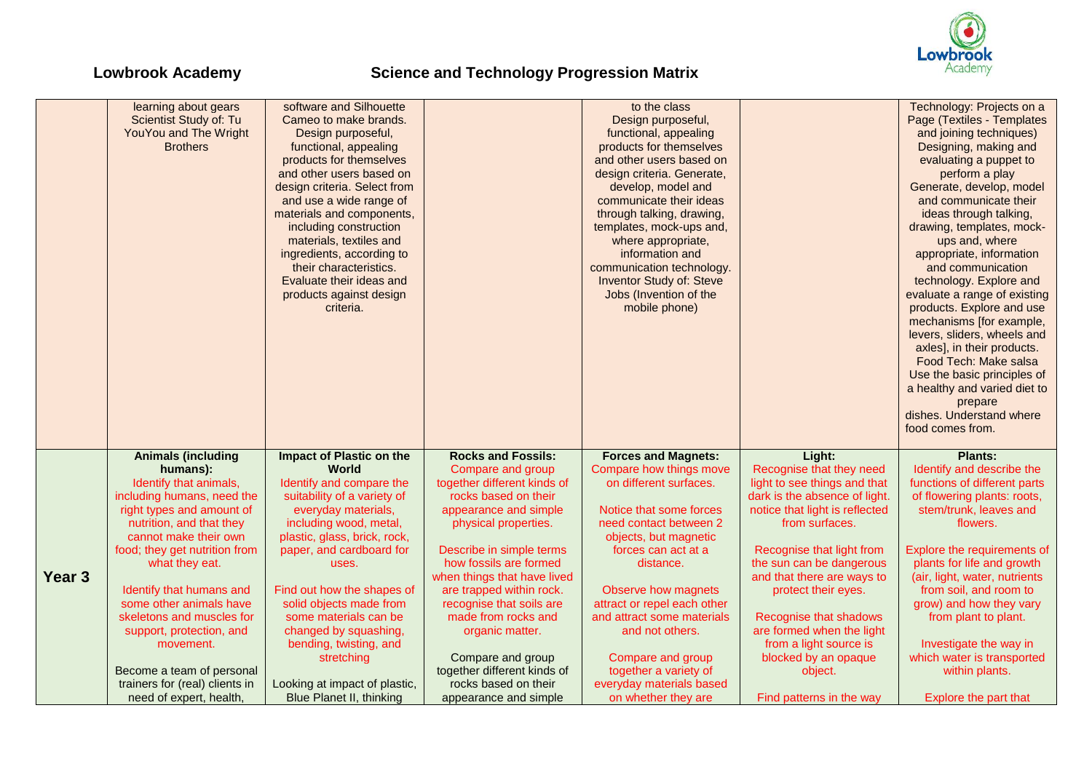

|                   | learning about gears<br>Scientist Study of: Tu<br>YouYou and The Wright<br><b>Brothers</b> | software and Silhouette<br>Cameo to make brands.<br>Design purposeful,<br>functional, appealing<br>products for themselves<br>and other users based on<br>design criteria. Select from<br>and use a wide range of<br>materials and components,<br>including construction<br>materials, textiles and<br>ingredients, according to<br>their characteristics.<br>Evaluate their ideas and<br>products against design<br>criteria. |                                                         | to the class<br>Design purposeful,<br>functional, appealing<br>products for themselves<br>and other users based on<br>design criteria. Generate,<br>develop, model and<br>communicate their ideas<br>through talking, drawing,<br>templates, mock-ups and,<br>where appropriate,<br>information and<br>communication technology.<br><b>Inventor Study of: Steve</b><br>Jobs (Invention of the<br>mobile phone) |                                                                 | Technology: Projects on a<br>Page (Textiles - Templates<br>and joining techniques)<br>Designing, making and<br>evaluating a puppet to<br>perform a play<br>Generate, develop, model<br>and communicate their<br>ideas through talking,<br>drawing, templates, mock-<br>ups and, where<br>appropriate, information<br>and communication<br>technology. Explore and<br>evaluate a range of existing<br>products. Explore and use<br>mechanisms [for example, |
|-------------------|--------------------------------------------------------------------------------------------|--------------------------------------------------------------------------------------------------------------------------------------------------------------------------------------------------------------------------------------------------------------------------------------------------------------------------------------------------------------------------------------------------------------------------------|---------------------------------------------------------|----------------------------------------------------------------------------------------------------------------------------------------------------------------------------------------------------------------------------------------------------------------------------------------------------------------------------------------------------------------------------------------------------------------|-----------------------------------------------------------------|------------------------------------------------------------------------------------------------------------------------------------------------------------------------------------------------------------------------------------------------------------------------------------------------------------------------------------------------------------------------------------------------------------------------------------------------------------|
|                   |                                                                                            |                                                                                                                                                                                                                                                                                                                                                                                                                                |                                                         |                                                                                                                                                                                                                                                                                                                                                                                                                |                                                                 | levers, sliders, wheels and<br>axles], in their products.<br>Food Tech: Make salsa<br>Use the basic principles of<br>a healthy and varied diet to<br>prepare<br>dishes. Understand where<br>food comes from.                                                                                                                                                                                                                                               |
|                   | <b>Animals (including</b>                                                                  | Impact of Plastic on the                                                                                                                                                                                                                                                                                                                                                                                                       | <b>Rocks and Fossils:</b>                               | <b>Forces and Magnets:</b>                                                                                                                                                                                                                                                                                                                                                                                     | Light:                                                          | <b>Plants:</b>                                                                                                                                                                                                                                                                                                                                                                                                                                             |
|                   | humans):                                                                                   | World                                                                                                                                                                                                                                                                                                                                                                                                                          | Compare and group                                       | Compare how things move                                                                                                                                                                                                                                                                                                                                                                                        | Recognise that they need                                        | Identify and describe the                                                                                                                                                                                                                                                                                                                                                                                                                                  |
|                   | Identify that animals,                                                                     | Identify and compare the                                                                                                                                                                                                                                                                                                                                                                                                       | together different kinds of                             | on different surfaces.                                                                                                                                                                                                                                                                                                                                                                                         | light to see things and that                                    | functions of different parts                                                                                                                                                                                                                                                                                                                                                                                                                               |
|                   | including humans, need the<br>right types and amount of                                    | suitability of a variety of<br>everyday materials,                                                                                                                                                                                                                                                                                                                                                                             | rocks based on their<br>appearance and simple           | Notice that some forces                                                                                                                                                                                                                                                                                                                                                                                        | dark is the absence of light.<br>notice that light is reflected | of flowering plants: roots,<br>stem/trunk, leaves and                                                                                                                                                                                                                                                                                                                                                                                                      |
|                   | nutrition, and that they                                                                   | including wood, metal,                                                                                                                                                                                                                                                                                                                                                                                                         | physical properties.                                    | need contact between 2                                                                                                                                                                                                                                                                                                                                                                                         | from surfaces.                                                  | flowers.                                                                                                                                                                                                                                                                                                                                                                                                                                                   |
|                   | cannot make their own                                                                      | plastic, glass, brick, rock,                                                                                                                                                                                                                                                                                                                                                                                                   |                                                         | objects, but magnetic                                                                                                                                                                                                                                                                                                                                                                                          |                                                                 |                                                                                                                                                                                                                                                                                                                                                                                                                                                            |
|                   | food; they get nutrition from                                                              | paper, and cardboard for                                                                                                                                                                                                                                                                                                                                                                                                       | Describe in simple terms                                | forces can act at a                                                                                                                                                                                                                                                                                                                                                                                            | Recognise that light from                                       | Explore the requirements of                                                                                                                                                                                                                                                                                                                                                                                                                                |
|                   | what they eat.                                                                             | uses.                                                                                                                                                                                                                                                                                                                                                                                                                          | how fossils are formed                                  | distance.                                                                                                                                                                                                                                                                                                                                                                                                      | the sun can be dangerous                                        | plants for life and growth                                                                                                                                                                                                                                                                                                                                                                                                                                 |
| Year <sub>3</sub> | Identify that humans and                                                                   | Find out how the shapes of                                                                                                                                                                                                                                                                                                                                                                                                     | when things that have lived<br>are trapped within rock. | Observe how magnets                                                                                                                                                                                                                                                                                                                                                                                            | and that there are ways to<br>protect their eyes.               | (air, light, water, nutrients<br>from soil, and room to                                                                                                                                                                                                                                                                                                                                                                                                    |
|                   | some other animals have                                                                    | solid objects made from                                                                                                                                                                                                                                                                                                                                                                                                        | recognise that soils are                                | attract or repel each other                                                                                                                                                                                                                                                                                                                                                                                    |                                                                 | grow) and how they vary                                                                                                                                                                                                                                                                                                                                                                                                                                    |
|                   | skeletons and muscles for                                                                  | some materials can be                                                                                                                                                                                                                                                                                                                                                                                                          | made from rocks and                                     | and attract some materials                                                                                                                                                                                                                                                                                                                                                                                     | Recognise that shadows                                          | from plant to plant.                                                                                                                                                                                                                                                                                                                                                                                                                                       |
|                   | support, protection, and                                                                   | changed by squashing,                                                                                                                                                                                                                                                                                                                                                                                                          | organic matter.                                         | and not others.                                                                                                                                                                                                                                                                                                                                                                                                | are formed when the light                                       |                                                                                                                                                                                                                                                                                                                                                                                                                                                            |
|                   | movement.                                                                                  | bending, twisting, and                                                                                                                                                                                                                                                                                                                                                                                                         |                                                         |                                                                                                                                                                                                                                                                                                                                                                                                                | from a light source is                                          | Investigate the way in                                                                                                                                                                                                                                                                                                                                                                                                                                     |
|                   | Become a team of personal                                                                  | stretching                                                                                                                                                                                                                                                                                                                                                                                                                     | Compare and group<br>together different kinds of        | Compare and group<br>together a variety of                                                                                                                                                                                                                                                                                                                                                                     | blocked by an opaque<br>object.                                 | which water is transported<br>within plants.                                                                                                                                                                                                                                                                                                                                                                                                               |
|                   |                                                                                            |                                                                                                                                                                                                                                                                                                                                                                                                                                |                                                         |                                                                                                                                                                                                                                                                                                                                                                                                                |                                                                 |                                                                                                                                                                                                                                                                                                                                                                                                                                                            |
|                   | trainers for (real) clients in                                                             | Looking at impact of plastic,                                                                                                                                                                                                                                                                                                                                                                                                  | rocks based on their                                    | everyday materials based                                                                                                                                                                                                                                                                                                                                                                                       |                                                                 |                                                                                                                                                                                                                                                                                                                                                                                                                                                            |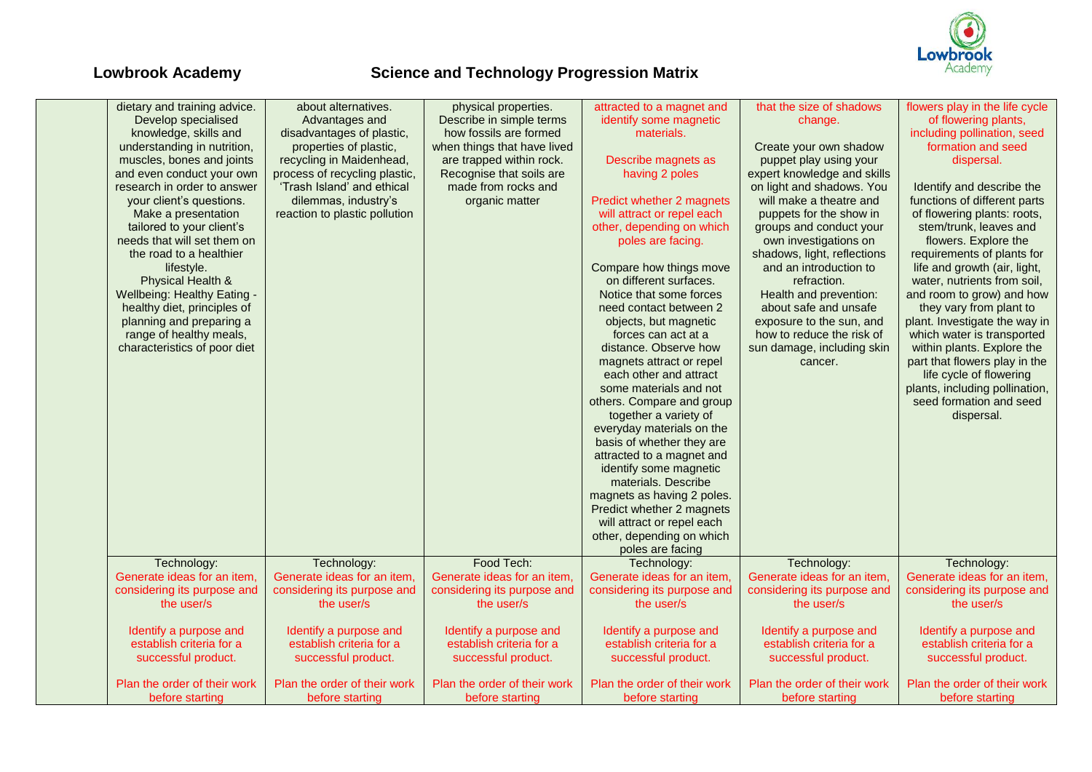

| dietary and training advice. | about alternatives.           | physical properties.         | attracted to a magnet and    | that the size of shadows     | flowers play in the life cycle |
|------------------------------|-------------------------------|------------------------------|------------------------------|------------------------------|--------------------------------|
| Develop specialised          | Advantages and                | Describe in simple terms     | identify some magnetic       | change.                      | of flowering plants,           |
| knowledge, skills and        | disadvantages of plastic,     | how fossils are formed       | materials.                   |                              | including pollination, seed    |
| understanding in nutrition,  | properties of plastic,        | when things that have lived  |                              | Create your own shadow       | formation and seed             |
| muscles, bones and joints    | recycling in Maidenhead,      | are trapped within rock.     | Describe magnets as          | puppet play using your       | dispersal.                     |
| and even conduct your own    | process of recycling plastic, | Recognise that soils are     | having 2 poles               | expert knowledge and skills  |                                |
| research in order to answer  | 'Trash Island' and ethical    | made from rocks and          |                              | on light and shadows. You    | Identify and describe the      |
| your client's questions.     | dilemmas, industry's          | organic matter               | Predict whether 2 magnets    | will make a theatre and      | functions of different parts   |
| Make a presentation          | reaction to plastic pollution |                              | will attract or repel each   | puppets for the show in      | of flowering plants: roots,    |
| tailored to your client's    |                               |                              | other, depending on which    | groups and conduct your      | stem/trunk, leaves and         |
| needs that will set them on  |                               |                              | poles are facing.            | own investigations on        | flowers. Explore the           |
| the road to a healthier      |                               |                              |                              | shadows, light, reflections  | requirements of plants for     |
| lifestyle.                   |                               |                              | Compare how things move      | and an introduction to       | life and growth (air, light,   |
| Physical Health &            |                               |                              | on different surfaces.       | refraction.                  | water, nutrients from soil,    |
| Wellbeing: Healthy Eating -  |                               |                              | Notice that some forces      | Health and prevention:       | and room to grow) and how      |
| healthy diet, principles of  |                               |                              | need contact between 2       | about safe and unsafe        | they vary from plant to        |
| planning and preparing a     |                               |                              | objects, but magnetic        | exposure to the sun, and     | plant. Investigate the way in  |
| range of healthy meals,      |                               |                              | forces can act at a          | how to reduce the risk of    | which water is transported     |
| characteristics of poor diet |                               |                              | distance. Observe how        | sun damage, including skin   | within plants. Explore the     |
|                              |                               |                              | magnets attract or repel     | cancer.                      | part that flowers play in the  |
|                              |                               |                              | each other and attract       |                              | life cycle of flowering        |
|                              |                               |                              | some materials and not       |                              | plants, including pollination, |
|                              |                               |                              | others. Compare and group    |                              | seed formation and seed        |
|                              |                               |                              | together a variety of        |                              | dispersal.                     |
|                              |                               |                              | everyday materials on the    |                              |                                |
|                              |                               |                              | basis of whether they are    |                              |                                |
|                              |                               |                              | attracted to a magnet and    |                              |                                |
|                              |                               |                              | identify some magnetic       |                              |                                |
|                              |                               |                              | materials. Describe          |                              |                                |
|                              |                               |                              | magnets as having 2 poles.   |                              |                                |
|                              |                               |                              | Predict whether 2 magnets    |                              |                                |
|                              |                               |                              | will attract or repel each   |                              |                                |
|                              |                               |                              | other, depending on which    |                              |                                |
|                              |                               |                              | poles are facing             |                              |                                |
| Technology:                  | Technology:                   | Food Tech:                   | Technology:                  | Technology:                  | Technology:                    |
| Generate ideas for an item,  | Generate ideas for an item,   | Generate ideas for an item,  | Generate ideas for an item,  | Generate ideas for an item,  | Generate ideas for an item,    |
| considering its purpose and  | considering its purpose and   | considering its purpose and  | considering its purpose and  | considering its purpose and  | considering its purpose and    |
| the user/s                   | the user/s                    | the user/s                   | the user/s                   | the user/s                   | the user/s                     |
|                              |                               |                              |                              |                              |                                |
| Identify a purpose and       | Identify a purpose and        | Identify a purpose and       | Identify a purpose and       | Identify a purpose and       | Identify a purpose and         |
| establish criteria for a     | establish criteria for a      | establish criteria for a     | establish criteria for a     | establish criteria for a     | establish criteria for a       |
| successful product.          | successful product.           | successful product.          | successful product.          | successful product.          | successful product.            |
|                              |                               |                              |                              |                              |                                |
| Plan the order of their work | Plan the order of their work  | Plan the order of their work | Plan the order of their work | Plan the order of their work | Plan the order of their work   |
| before starting              | before starting               | before starting              | before starting              | before starting              | before starting                |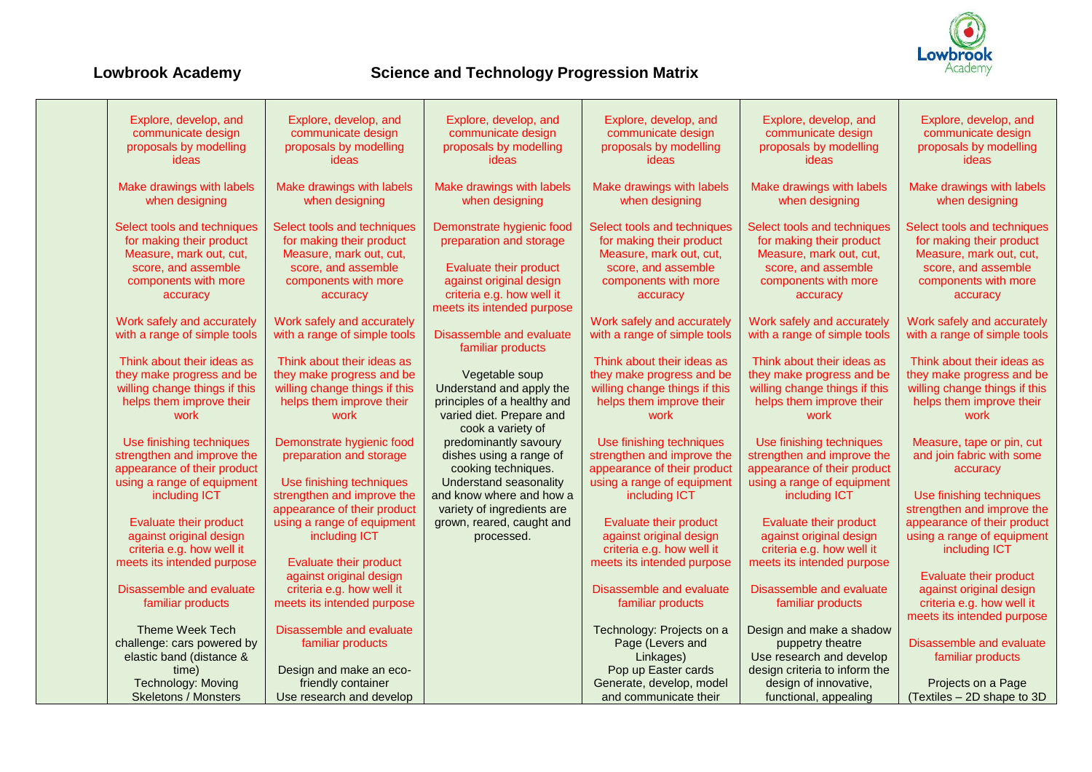

| Explore, develop, and         | Explore, develop, and                          | Explore, develop, and                      | Explore, develop, and         | Explore, develop, and         | Explore, develop, and                            |
|-------------------------------|------------------------------------------------|--------------------------------------------|-------------------------------|-------------------------------|--------------------------------------------------|
| communicate design            | communicate design                             | communicate design                         | communicate design            | communicate design            | communicate design                               |
| proposals by modelling        | proposals by modelling                         | proposals by modelling                     | proposals by modelling        | proposals by modelling        | proposals by modelling                           |
| ideas                         | ideas                                          | ideas                                      | ideas                         | ideas                         | ideas                                            |
|                               |                                                |                                            |                               |                               |                                                  |
| Make drawings with labels     | Make drawings with labels                      | Make drawings with labels                  | Make drawings with labels     | Make drawings with labels     | Make drawings with labels                        |
| when designing                | when designing                                 | when designing                             | when designing                | when designing                | when designing                                   |
|                               |                                                |                                            |                               |                               |                                                  |
| Select tools and techniques   | Select tools and techniques                    | Demonstrate hygienic food                  | Select tools and techniques   | Select tools and techniques   | Select tools and techniques                      |
| for making their product      | for making their product                       | preparation and storage                    | for making their product      | for making their product      | for making their product                         |
| Measure, mark out, cut,       | Measure, mark out, cut,                        |                                            | Measure, mark out, cut,       | Measure, mark out, cut,       | Measure, mark out, cut,                          |
| score, and assemble           | score, and assemble                            | <b>Evaluate their product</b>              | score, and assemble           | score, and assemble           | score, and assemble                              |
| components with more          | components with more                           | against original design                    | components with more          | components with more          | components with more                             |
| accuracy                      | accuracy                                       | criteria e.g. how well it                  | accuracy                      | accuracy                      | accuracy                                         |
|                               |                                                | meets its intended purpose                 |                               |                               |                                                  |
| Work safely and accurately    | Work safely and accurately                     |                                            | Work safely and accurately    | Work safely and accurately    | Work safely and accurately                       |
| with a range of simple tools  | with a range of simple tools                   | Disassemble and evaluate                   | with a range of simple tools  | with a range of simple tools  | with a range of simple tools                     |
| Think about their ideas as    | Think about their ideas as                     | familiar products                          | Think about their ideas as    | Think about their ideas as    | Think about their ideas as                       |
| they make progress and be     | they make progress and be                      |                                            | they make progress and be     | they make progress and be     | they make progress and be                        |
| willing change things if this | willing change things if this                  | Vegetable soup<br>Understand and apply the | willing change things if this | willing change things if this | willing change things if this                    |
| helps them improve their      | helps them improve their                       | principles of a healthy and                | helps them improve their      | helps them improve their      | helps them improve their                         |
| work                          | work                                           | varied diet. Prepare and                   | work                          | work                          | work                                             |
|                               |                                                | cook a variety of                          |                               |                               |                                                  |
| Use finishing techniques      | Demonstrate hygienic food                      | predominantly savoury                      | Use finishing techniques      | Use finishing techniques      | Measure, tape or pin, cut                        |
| strengthen and improve the    | preparation and storage                        | dishes using a range of                    | strengthen and improve the    | strengthen and improve the    | and join fabric with some                        |
| appearance of their product   |                                                | cooking techniques.                        | appearance of their product   | appearance of their product   | accuracy                                         |
| using a range of equipment    | Use finishing techniques                       | Understand seasonality                     | using a range of equipment    | using a range of equipment    |                                                  |
| including ICT                 | strengthen and improve the                     | and know where and how a                   | including ICT                 | including ICT                 | Use finishing techniques                         |
|                               | appearance of their product                    | variety of ingredients are                 |                               |                               | strengthen and improve the                       |
| Evaluate their product        | using a range of equipment                     | grown, reared, caught and                  | <b>Evaluate their product</b> | Evaluate their product        | appearance of their product                      |
| against original design       | including ICT                                  | processed.                                 | against original design       | against original design       | using a range of equipment                       |
| criteria e.g. how well it     |                                                |                                            | criteria e.g. how well it     | criteria e.g. how well it     | including ICT                                    |
| meets its intended purpose    | <b>Evaluate their product</b>                  |                                            | meets its intended purpose    | meets its intended purpose    |                                                  |
|                               | against original design                        |                                            |                               |                               | <b>Evaluate their product</b>                    |
| Disassemble and evaluate      | criteria e.g. how well it                      |                                            | Disassemble and evaluate      | Disassemble and evaluate      | against original design                          |
| familiar products             | meets its intended purpose                     |                                            | familiar products             | familiar products             | criteria e.g. how well it                        |
|                               |                                                |                                            |                               |                               | meets its intended purpose                       |
| <b>Theme Week Tech</b>        | Disassemble and evaluate                       |                                            | Technology: Projects on a     | Design and make a shadow      |                                                  |
| challenge: cars powered by    | familiar products                              |                                            | Page (Levers and              | puppetry theatre              | Disassemble and evaluate                         |
| elastic band (distance &      |                                                |                                            | Linkages)                     | Use research and develop      | familiar products                                |
| time)                         | Design and make an eco-                        |                                            | Pop up Easter cards           | design criteria to inform the |                                                  |
| Technology: Moving            | friendly container<br>Use research and develop |                                            | Generate, develop, model      | design of innovative,         | Projects on a Page<br>(Textiles - 2D shape to 3D |
| <b>Skeletons / Monsters</b>   |                                                |                                            | and communicate their         | functional, appealing         |                                                  |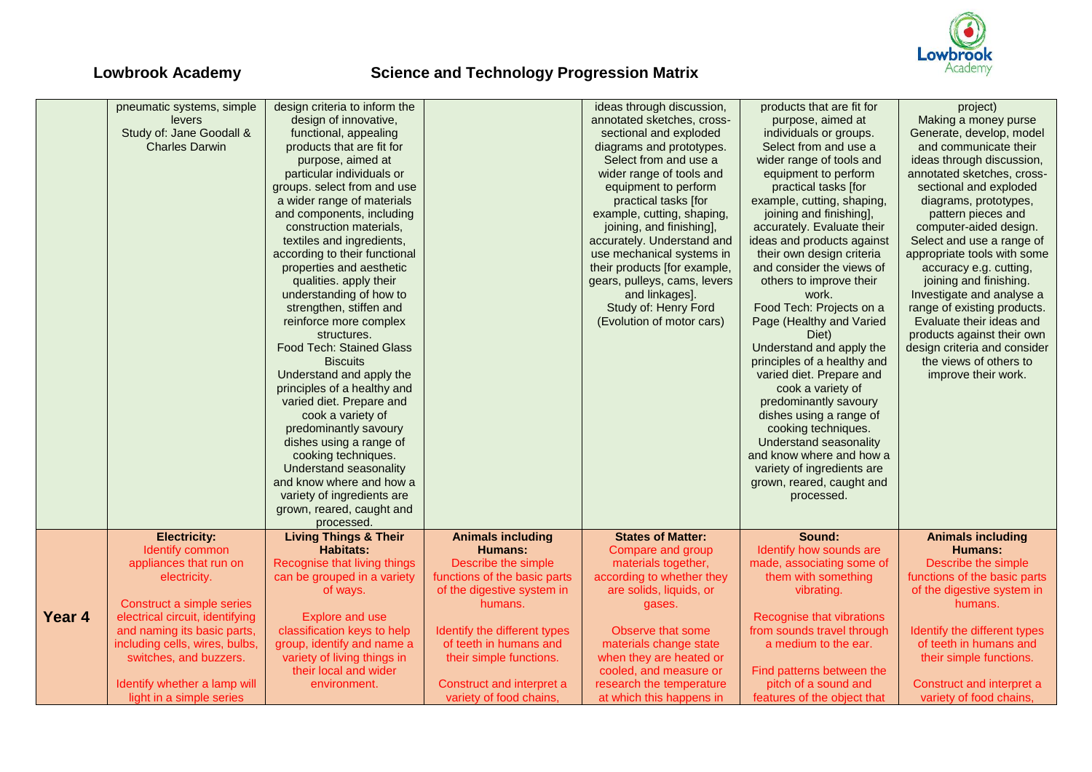

|        | pneumatic systems, simple       | design criteria to inform the    |                              | ideas through discussion,    | products that are fit for   | project)                     |
|--------|---------------------------------|----------------------------------|------------------------------|------------------------------|-----------------------------|------------------------------|
|        | levers                          | design of innovative,            |                              | annotated sketches, cross-   | purpose, aimed at           | Making a money purse         |
|        | Study of: Jane Goodall &        | functional, appealing            |                              | sectional and exploded       | individuals or groups.      | Generate, develop, model     |
|        | <b>Charles Darwin</b>           | products that are fit for        |                              | diagrams and prototypes.     | Select from and use a       | and communicate their        |
|        |                                 | purpose, aimed at                |                              | Select from and use a        | wider range of tools and    | ideas through discussion,    |
|        |                                 | particular individuals or        |                              | wider range of tools and     | equipment to perform        | annotated sketches, cross-   |
|        |                                 | groups. select from and use      |                              | equipment to perform         | practical tasks [for        | sectional and exploded       |
|        |                                 | a wider range of materials       |                              | practical tasks [for         | example, cutting, shaping,  | diagrams, prototypes,        |
|        |                                 | and components, including        |                              | example, cutting, shaping,   |                             |                              |
|        |                                 |                                  |                              |                              | joining and finishing],     | pattern pieces and           |
|        |                                 | construction materials,          |                              | joining, and finishing],     | accurately. Evaluate their  | computer-aided design.       |
|        |                                 | textiles and ingredients,        |                              | accurately. Understand and   | ideas and products against  | Select and use a range of    |
|        |                                 | according to their functional    |                              | use mechanical systems in    | their own design criteria   | appropriate tools with some  |
|        |                                 | properties and aesthetic         |                              | their products [for example, | and consider the views of   | accuracy e.g. cutting,       |
|        |                                 | qualities. apply their           |                              | gears, pulleys, cams, levers | others to improve their     | joining and finishing.       |
|        |                                 | understanding of how to          |                              | and linkages].               | work.                       | Investigate and analyse a    |
|        |                                 | strengthen, stiffen and          |                              | Study of: Henry Ford         | Food Tech: Projects on a    | range of existing products.  |
|        |                                 | reinforce more complex           |                              | (Evolution of motor cars)    | Page (Healthy and Varied    | Evaluate their ideas and     |
|        |                                 | structures.                      |                              |                              | Diet)                       | products against their own   |
|        |                                 | Food Tech: Stained Glass         |                              |                              | Understand and apply the    | design criteria and consider |
|        |                                 | <b>Biscuits</b>                  |                              |                              | principles of a healthy and | the views of others to       |
|        |                                 | Understand and apply the         |                              |                              | varied diet. Prepare and    | improve their work.          |
|        |                                 | principles of a healthy and      |                              |                              | cook a variety of           |                              |
|        |                                 | varied diet. Prepare and         |                              |                              | predominantly savoury       |                              |
|        |                                 | cook a variety of                |                              |                              | dishes using a range of     |                              |
|        |                                 | predominantly savoury            |                              |                              | cooking techniques.         |                              |
|        |                                 | dishes using a range of          |                              |                              | Understand seasonality      |                              |
|        |                                 | cooking techniques.              |                              |                              | and know where and how a    |                              |
|        |                                 | Understand seasonality           |                              |                              | variety of ingredients are  |                              |
|        |                                 | and know where and how a         |                              |                              |                             |                              |
|        |                                 |                                  |                              |                              | grown, reared, caught and   |                              |
|        |                                 | variety of ingredients are       |                              |                              | processed.                  |                              |
|        |                                 | grown, reared, caught and        |                              |                              |                             |                              |
|        |                                 | processed.                       |                              |                              |                             |                              |
|        | <b>Electricity:</b>             | <b>Living Things &amp; Their</b> | <b>Animals including</b>     | <b>States of Matter:</b>     | Sound:                      | <b>Animals including</b>     |
|        | Identify common                 | <b>Habitats:</b>                 | Humans:                      | Compare and group            | Identify how sounds are     | Humans:                      |
|        | appliances that run on          | Recognise that living things     | Describe the simple          | materials together,          | made, associating some of   | Describe the simple          |
|        | electricity.                    | can be grouped in a variety      | functions of the basic parts | according to whether they    | them with something         | functions of the basic parts |
|        |                                 | of ways.                         | of the digestive system in   | are solids, liquids, or      | vibrating.                  | of the digestive system in   |
|        | Construct a simple series       |                                  | humans.                      | gases.                       |                             | humans.                      |
| Year 4 | electrical circuit, identifying | <b>Explore and use</b>           |                              |                              | Recognise that vibrations   |                              |
|        | and naming its basic parts,     | classification keys to help      | Identify the different types | Observe that some            | from sounds travel through  | Identify the different types |
|        | including cells, wires, bulbs,  | group, identify and name a       | of teeth in humans and       | materials change state       | a medium to the ear.        | of teeth in humans and       |
|        | switches, and buzzers.          | variety of living things in      | their simple functions.      | when they are heated or      |                             | their simple functions.      |
|        |                                 | their local and wider            |                              | cooled, and measure or       | Find patterns between the   |                              |
|        | Identify whether a lamp will    | environment.                     | Construct and interpret a    | research the temperature     | pitch of a sound and        | Construct and interpret a    |
|        | light in a simple series        |                                  | variety of food chains,      | at which this happens in     | features of the object that | variety of food chains,      |
|        |                                 |                                  |                              |                              |                             |                              |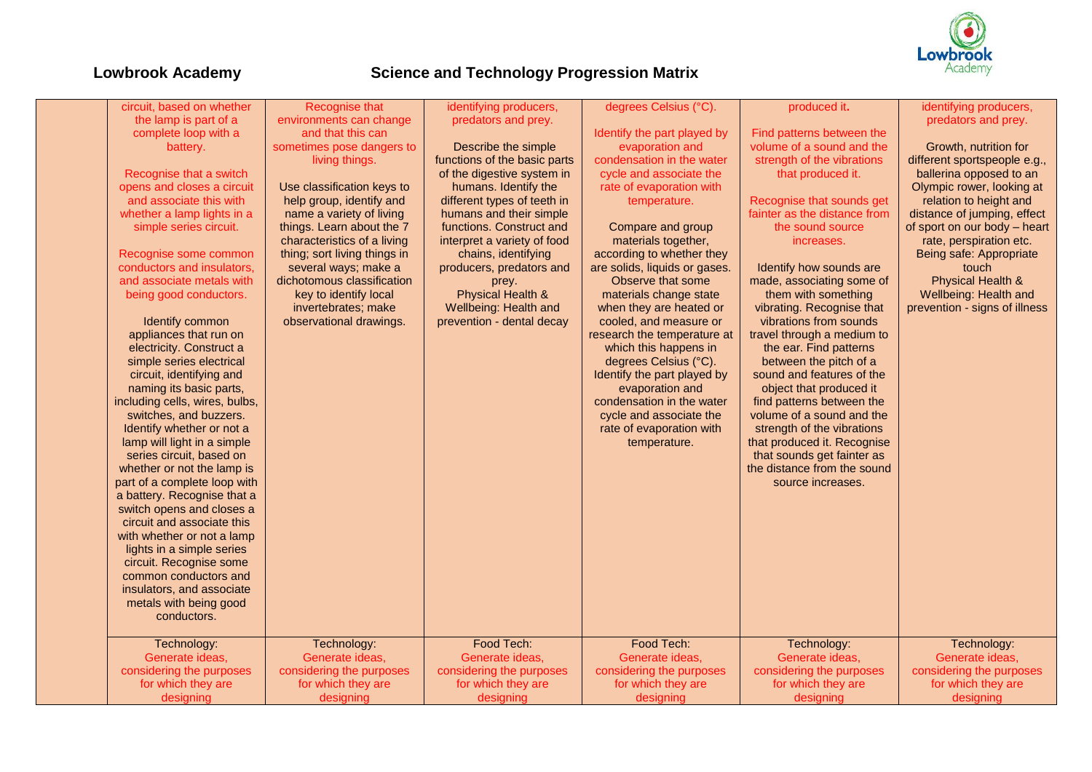

| circuit, based on whether      |                              |                              | degrees Celsius (°C).         | produced it.                 |                               |
|--------------------------------|------------------------------|------------------------------|-------------------------------|------------------------------|-------------------------------|
|                                | Recognise that               | identifying producers,       |                               |                              | identifying producers,        |
| the lamp is part of a          | environments can change      | predators and prey.          |                               |                              | predators and prey.           |
| complete loop with a           | and that this can            |                              | Identify the part played by   | Find patterns between the    |                               |
| battery.                       | sometimes pose dangers to    | Describe the simple          | evaporation and               | volume of a sound and the    | Growth, nutrition for         |
|                                | living things.               | functions of the basic parts | condensation in the water     | strength of the vibrations   | different sportspeople e.g.,  |
| Recognise that a switch        |                              | of the digestive system in   | cycle and associate the       | that produced it.            | ballerina opposed to an       |
| opens and closes a circuit     | Use classification keys to   | humans. Identify the         | rate of evaporation with      |                              | Olympic rower, looking at     |
| and associate this with        | help group, identify and     | different types of teeth in  | temperature.                  | Recognise that sounds get    | relation to height and        |
| whether a lamp lights in a     | name a variety of living     | humans and their simple      |                               | fainter as the distance from | distance of jumping, effect   |
| simple series circuit.         | things. Learn about the 7    | functions. Construct and     | Compare and group             | the sound source             | of sport on our body - heart  |
|                                | characteristics of a living  | interpret a variety of food  | materials together,           | increases.                   | rate, perspiration etc.       |
| Recognise some common          | thing; sort living things in | chains, identifying          | according to whether they     |                              | Being safe: Appropriate       |
| conductors and insulators,     | several ways; make a         | producers, predators and     | are solids, liquids or gases. | Identify how sounds are      | touch                         |
| and associate metals with      | dichotomous classification   | prey.                        | Observe that some             | made, associating some of    | <b>Physical Health &amp;</b>  |
| being good conductors.         | key to identify local        | Physical Health &            | materials change state        | them with something          | Wellbeing: Health and         |
|                                | invertebrates: make          | Wellbeing: Health and        | when they are heated or       | vibrating. Recognise that    | prevention - signs of illness |
| Identify common                | observational drawings.      | prevention - dental decay    | cooled, and measure or        | vibrations from sounds       |                               |
| appliances that run on         |                              |                              | research the temperature at   | travel through a medium to   |                               |
| electricity. Construct a       |                              |                              | which this happens in         | the ear. Find patterns       |                               |
| simple series electrical       |                              |                              | degrees Celsius (°C).         | between the pitch of a       |                               |
| circuit, identifying and       |                              |                              | Identify the part played by   | sound and features of the    |                               |
| naming its basic parts,        |                              |                              | evaporation and               | object that produced it      |                               |
| including cells, wires, bulbs, |                              |                              | condensation in the water     | find patterns between the    |                               |
| switches, and buzzers.         |                              |                              | cycle and associate the       | volume of a sound and the    |                               |
|                                |                              |                              |                               |                              |                               |
| Identify whether or not a      |                              |                              | rate of evaporation with      | strength of the vibrations   |                               |
| lamp will light in a simple    |                              |                              | temperature.                  | that produced it. Recognise  |                               |
| series circuit, based on       |                              |                              |                               | that sounds get fainter as   |                               |
| whether or not the lamp is     |                              |                              |                               | the distance from the sound  |                               |
| part of a complete loop with   |                              |                              |                               | source increases.            |                               |
| a battery. Recognise that a    |                              |                              |                               |                              |                               |
| switch opens and closes a      |                              |                              |                               |                              |                               |
| circuit and associate this     |                              |                              |                               |                              |                               |
| with whether or not a lamp     |                              |                              |                               |                              |                               |
| lights in a simple series      |                              |                              |                               |                              |                               |
| circuit. Recognise some        |                              |                              |                               |                              |                               |
| common conductors and          |                              |                              |                               |                              |                               |
| insulators, and associate      |                              |                              |                               |                              |                               |
| metals with being good         |                              |                              |                               |                              |                               |
| conductors.                    |                              |                              |                               |                              |                               |
|                                |                              |                              |                               |                              |                               |
| Technology:                    | Technology:                  | Food Tech:                   | Food Tech:                    | Technology:                  | Technology:                   |
| Generate ideas,                | Generate ideas,              | Generate ideas,              | Generate ideas,               | Generate ideas,              | Generate ideas,               |
| considering the purposes       | considering the purposes     | considering the purposes     | considering the purposes      | considering the purposes     | considering the purposes      |
| for which they are             | for which they are           | for which they are           | for which they are            | for which they are           | for which they are            |
| designing                      | designing                    | designing                    | designing                     | designing                    | designing                     |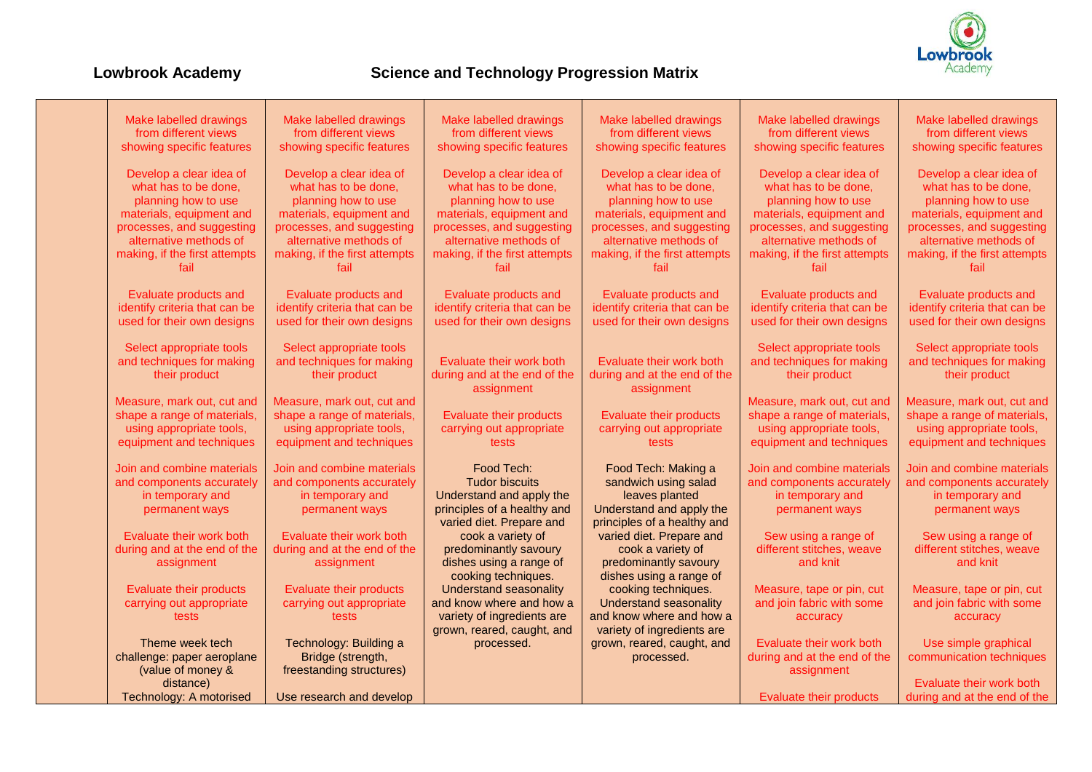

| Make labelled drawings         | Make labelled drawings                | Make labelled drawings                | Make labelled drawings                | Make labelled drawings         | Make labelled drawings        |
|--------------------------------|---------------------------------------|---------------------------------------|---------------------------------------|--------------------------------|-------------------------------|
| from different views           | from different views                  | from different views                  | from different views                  | from different views           | from different views          |
| showing specific features      | showing specific features             | showing specific features             | showing specific features             | showing specific features      | showing specific features     |
|                                |                                       |                                       |                                       |                                |                               |
| Develop a clear idea of        | Develop a clear idea of               | Develop a clear idea of               | Develop a clear idea of               | Develop a clear idea of        | Develop a clear idea of       |
| what has to be done,           | what has to be done,                  | what has to be done,                  | what has to be done,                  | what has to be done,           | what has to be done,          |
| planning how to use            | planning how to use                   | planning how to use                   | planning how to use                   | planning how to use            | planning how to use           |
| materials, equipment and       | materials, equipment and              | materials, equipment and              | materials, equipment and              | materials, equipment and       | materials, equipment and      |
| processes, and suggesting      | processes, and suggesting             | processes, and suggesting             | processes, and suggesting             | processes, and suggesting      | processes, and suggesting     |
| alternative methods of         | alternative methods of                | alternative methods of                | alternative methods of                | alternative methods of         | alternative methods of        |
|                                |                                       |                                       |                                       |                                |                               |
| making, if the first attempts  | making, if the first attempts<br>fail | making, if the first attempts<br>fail | making, if the first attempts<br>fail | making, if the first attempts  | making, if the first attempts |
| fail                           |                                       |                                       |                                       | fail                           | fail                          |
| Evaluate products and          | Evaluate products and                 | Evaluate products and                 | Evaluate products and                 | Evaluate products and          | Evaluate products and         |
| identify criteria that can be  | identify criteria that can be         | identify criteria that can be         | identify criteria that can be         | identify criteria that can be  | identify criteria that can be |
| used for their own designs     | used for their own designs            | used for their own designs            | used for their own designs            | used for their own designs     | used for their own designs    |
|                                |                                       |                                       |                                       |                                |                               |
| Select appropriate tools       | Select appropriate tools              |                                       |                                       | Select appropriate tools       | Select appropriate tools      |
| and techniques for making      | and techniques for making             | Evaluate their work both              | Evaluate their work both              | and techniques for making      | and techniques for making     |
| their product                  | their product                         | during and at the end of the          | during and at the end of the          | their product                  | their product                 |
|                                |                                       | assignment                            | assignment                            |                                |                               |
| Measure, mark out, cut and     | Measure, mark out, cut and            |                                       |                                       | Measure, mark out, cut and     | Measure, mark out, cut and    |
| shape a range of materials,    | shape a range of materials,           | <b>Evaluate their products</b>        | Evaluate their products               | shape a range of materials,    | shape a range of materials,   |
| using appropriate tools,       | using appropriate tools,              | carrying out appropriate              | carrying out appropriate              | using appropriate tools,       | using appropriate tools,      |
| equipment and techniques       | equipment and techniques              | tests                                 | tests                                 | equipment and techniques       | equipment and techniques      |
|                                |                                       |                                       |                                       |                                |                               |
| Join and combine materials     | Join and combine materials            | Food Tech:                            | Food Tech: Making a                   | Join and combine materials     | Join and combine materials    |
| and components accurately      | and components accurately             | <b>Tudor biscuits</b>                 | sandwich using salad                  | and components accurately      | and components accurately     |
| in temporary and               | in temporary and                      | Understand and apply the              | leaves planted                        | in temporary and               | in temporary and              |
| permanent ways                 | permanent ways                        | principles of a healthy and           | Understand and apply the              | permanent ways                 | permanent ways                |
|                                |                                       | varied diet. Prepare and              | principles of a healthy and           |                                |                               |
| Evaluate their work both       | Evaluate their work both              | cook a variety of                     | varied diet. Prepare and              | Sew using a range of           | Sew using a range of          |
| during and at the end of the   | during and at the end of the          | predominantly savoury                 | cook a variety of                     | different stitches, weave      | different stitches, weave     |
| assignment                     | assignment                            | dishes using a range of               | predominantly savoury                 | and knit                       | and knit                      |
|                                |                                       | cooking techniques.                   | dishes using a range of               |                                |                               |
| <b>Evaluate their products</b> | <b>Evaluate their products</b>        | Understand seasonality                | cooking techniques.                   | Measure, tape or pin, cut      | Measure, tape or pin, cut     |
| carrying out appropriate       | carrying out appropriate              | and know where and how a              | Understand seasonality                | and join fabric with some      | and join fabric with some     |
| tests                          | tests                                 | variety of ingredients are            | and know where and how a              | accuracy                       | accuracy                      |
|                                |                                       | grown, reared, caught, and            | variety of ingredients are            |                                |                               |
| Theme week tech                | Technology: Building a                | processed.                            | grown, reared, caught, and            | Evaluate their work both       | Use simple graphical          |
| challenge: paper aeroplane     | Bridge (strength,                     |                                       | processed.                            | during and at the end of the   | communication techniques      |
| (value of money &              | freestanding structures)              |                                       |                                       | assignment                     |                               |
| distance)                      |                                       |                                       |                                       |                                | Evaluate their work both      |
| Technology: A motorised        | Use research and develop              |                                       |                                       | <b>Evaluate their products</b> | during and at the end of the  |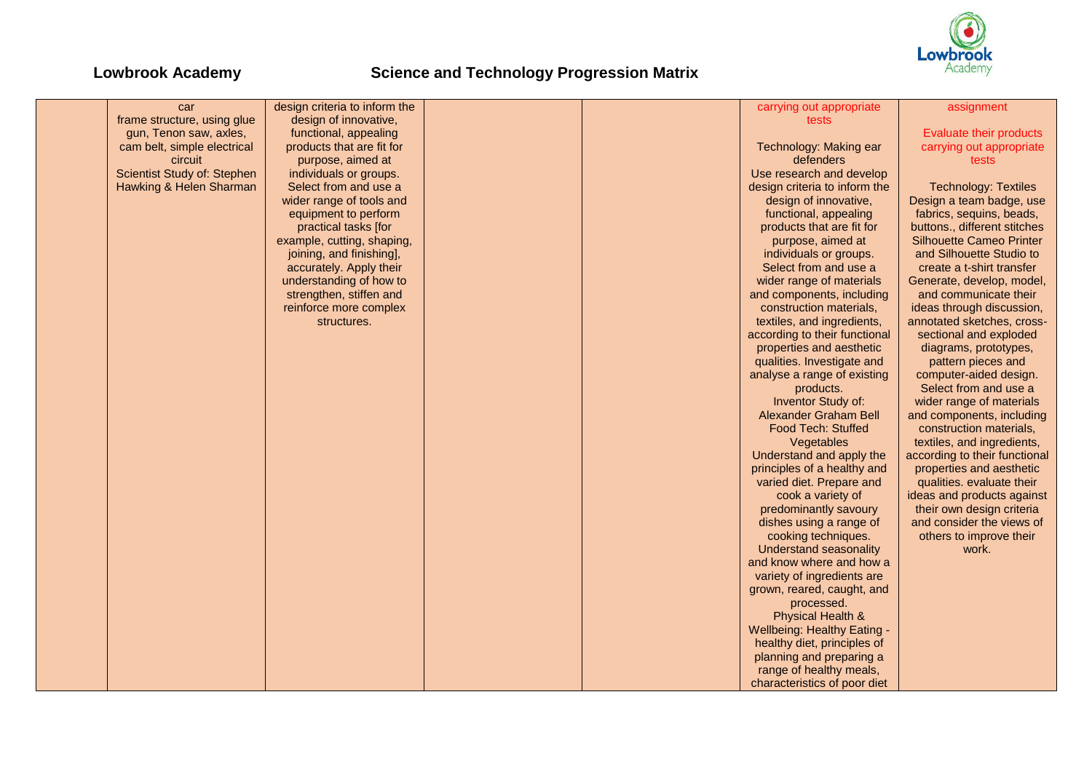

| car                         | design criteria to inform the |  | carrying out appropriate           | assignment                      |
|-----------------------------|-------------------------------|--|------------------------------------|---------------------------------|
| frame structure, using glue | design of innovative,         |  | tests                              |                                 |
| gun, Tenon saw, axles,      | functional, appealing         |  |                                    | Evaluate their products         |
| cam belt, simple electrical | products that are fit for     |  | Technology: Making ear             | carrying out appropriate        |
| circuit                     | purpose, aimed at             |  | defenders                          | tests                           |
| Scientist Study of: Stephen | individuals or groups.        |  | Use research and develop           |                                 |
| Hawking & Helen Sharman     | Select from and use a         |  | design criteria to inform the      | <b>Technology: Textiles</b>     |
|                             | wider range of tools and      |  | design of innovative,              | Design a team badge, use        |
|                             | equipment to perform          |  | functional, appealing              | fabrics, sequins, beads,        |
|                             | practical tasks [for          |  | products that are fit for          | buttons., different stitches    |
|                             | example, cutting, shaping,    |  | purpose, aimed at                  | <b>Silhouette Cameo Printer</b> |
|                             | joining, and finishing],      |  | individuals or groups.             | and Silhouette Studio to        |
|                             | accurately. Apply their       |  | Select from and use a              | create a t-shirt transfer       |
|                             | understanding of how to       |  | wider range of materials           | Generate, develop, model,       |
|                             | strengthen, stiffen and       |  | and components, including          | and communicate their           |
|                             | reinforce more complex        |  | construction materials.            | ideas through discussion,       |
|                             | structures.                   |  | textiles, and ingredients,         | annotated sketches, cross-      |
|                             |                               |  | according to their functional      | sectional and exploded          |
|                             |                               |  | properties and aesthetic           | diagrams, prototypes,           |
|                             |                               |  | qualities. Investigate and         | pattern pieces and              |
|                             |                               |  | analyse a range of existing        | computer-aided design.          |
|                             |                               |  | products.                          | Select from and use a           |
|                             |                               |  | Inventor Study of:                 | wider range of materials        |
|                             |                               |  | Alexander Graham Bell              | and components, including       |
|                             |                               |  | <b>Food Tech: Stuffed</b>          | construction materials,         |
|                             |                               |  | Vegetables                         | textiles, and ingredients,      |
|                             |                               |  | Understand and apply the           | according to their functional   |
|                             |                               |  | principles of a healthy and        | properties and aesthetic        |
|                             |                               |  | varied diet. Prepare and           | qualities. evaluate their       |
|                             |                               |  | cook a variety of                  | ideas and products against      |
|                             |                               |  | predominantly savoury              | their own design criteria       |
|                             |                               |  | dishes using a range of            | and consider the views of       |
|                             |                               |  | cooking techniques.                | others to improve their         |
|                             |                               |  | Understand seasonality             | work.                           |
|                             |                               |  | and know where and how a           |                                 |
|                             |                               |  | variety of ingredients are         |                                 |
|                             |                               |  | grown, reared, caught, and         |                                 |
|                             |                               |  | processed.                         |                                 |
|                             |                               |  | Physical Health &                  |                                 |
|                             |                               |  | <b>Wellbeing: Healthy Eating -</b> |                                 |
|                             |                               |  | healthy diet, principles of        |                                 |
|                             |                               |  | planning and preparing a           |                                 |
|                             |                               |  | range of healthy meals,            |                                 |
|                             |                               |  | characteristics of poor diet       |                                 |
|                             |                               |  |                                    |                                 |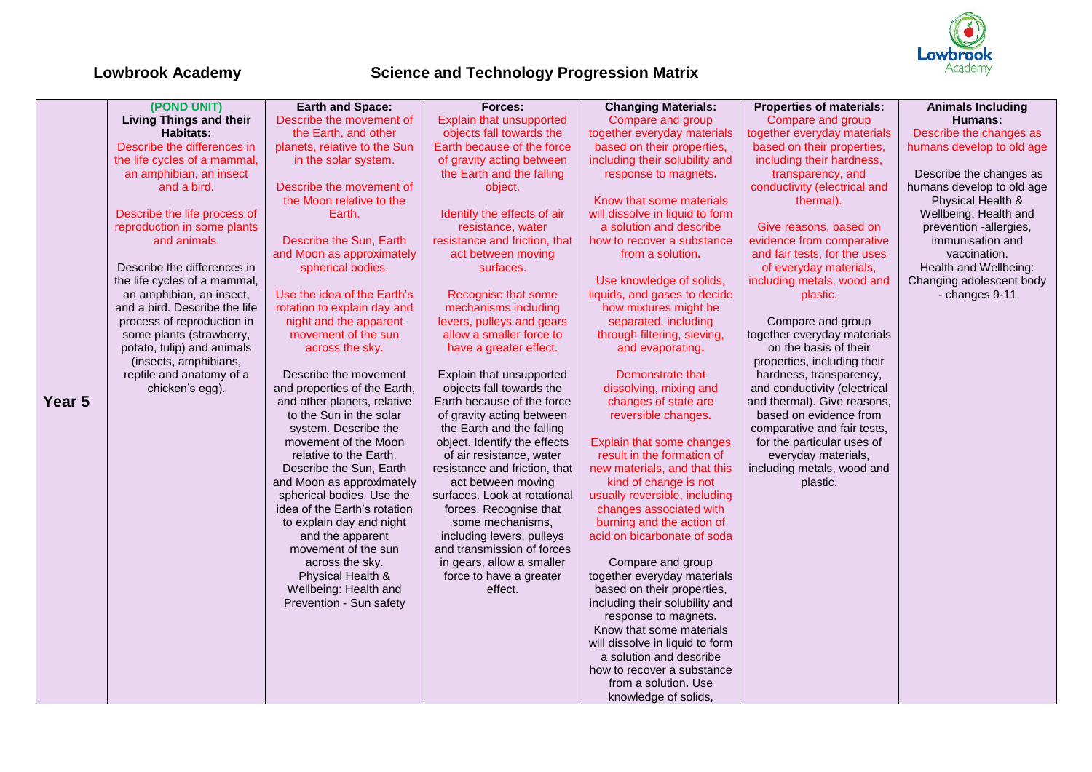

|        | (POND UNIT)                    | <b>Earth and Space:</b>                                     | Forces:                                                | <b>Changing Materials:</b>                     | <b>Properties of materials:</b>                             | <b>Animals Including</b>  |
|--------|--------------------------------|-------------------------------------------------------------|--------------------------------------------------------|------------------------------------------------|-------------------------------------------------------------|---------------------------|
|        | <b>Living Things and their</b> | Describe the movement of                                    | Explain that unsupported                               | Compare and group                              | Compare and group                                           | <b>Humans:</b>            |
|        | <b>Habitats:</b>               | the Earth, and other                                        | objects fall towards the                               | together everyday materials                    | together everyday materials                                 | Describe the changes as   |
|        | Describe the differences in    | planets, relative to the Sun                                | Earth because of the force                             | based on their properties,                     | based on their properties,                                  | humans develop to old age |
|        | the life cycles of a mammal,   | in the solar system.                                        | of gravity acting between                              | including their solubility and                 | including their hardness,                                   |                           |
|        | an amphibian, an insect        |                                                             | the Earth and the falling                              | response to magnets.                           | transparency, and                                           | Describe the changes as   |
|        | and a bird.                    | Describe the movement of                                    | object.                                                |                                                | conductivity (electrical and                                | humans develop to old age |
|        |                                | the Moon relative to the                                    |                                                        | Know that some materials                       | thermal).                                                   | Physical Health &         |
|        | Describe the life process of   | Earth.                                                      | Identify the effects of air                            | will dissolve in liquid to form                |                                                             | Wellbeing: Health and     |
|        | reproduction in some plants    |                                                             | resistance, water                                      | a solution and describe                        | Give reasons, based on                                      | prevention -allergies,    |
|        | and animals.                   | Describe the Sun, Earth                                     | resistance and friction, that                          | how to recover a substance                     | evidence from comparative                                   | immunisation and          |
|        |                                | and Moon as approximately                                   | act between moving                                     | from a solution.                               | and fair tests, for the uses                                | vaccination.              |
|        | Describe the differences in    | spherical bodies.                                           | surfaces.                                              |                                                | of everyday materials,                                      | Health and Wellbeing:     |
|        | the life cycles of a mammal,   |                                                             |                                                        | Use knowledge of solids,                       | including metals, wood and                                  | Changing adolescent body  |
|        | an amphibian, an insect,       | Use the idea of the Earth's                                 | Recognise that some                                    | liquids, and gases to decide                   | plastic.                                                    | - changes 9-11            |
|        | and a bird. Describe the life  | rotation to explain day and                                 | mechanisms including                                   | how mixtures might be                          |                                                             |                           |
|        | process of reproduction in     | night and the apparent                                      | levers, pulleys and gears                              | separated, including                           | Compare and group                                           |                           |
|        | some plants (strawberry,       | movement of the sun                                         | allow a smaller force to                               | through filtering, sieving,                    | together everyday materials                                 |                           |
|        | potato, tulip) and animals     | across the sky.                                             | have a greater effect.                                 | and evaporating.                               | on the basis of their                                       |                           |
|        | (insects, amphibians,          |                                                             |                                                        |                                                | properties, including their                                 |                           |
|        | reptile and anatomy of a       | Describe the movement                                       | Explain that unsupported                               | Demonstrate that                               | hardness, transparency,                                     |                           |
| Year 5 | chicken's egg).                | and properties of the Earth,<br>and other planets, relative | objects fall towards the<br>Earth because of the force | dissolving, mixing and<br>changes of state are | and conductivity (electrical<br>and thermal). Give reasons, |                           |
|        |                                | to the Sun in the solar                                     | of gravity acting between                              | reversible changes.                            | based on evidence from                                      |                           |
|        |                                | system. Describe the                                        | the Earth and the falling                              |                                                | comparative and fair tests,                                 |                           |
|        |                                | movement of the Moon                                        | object. Identify the effects                           | Explain that some changes                      | for the particular uses of                                  |                           |
|        |                                | relative to the Earth.                                      | of air resistance, water                               | result in the formation of                     | everyday materials,                                         |                           |
|        |                                | Describe the Sun, Earth                                     | resistance and friction, that                          | new materials, and that this                   | including metals, wood and                                  |                           |
|        |                                | and Moon as approximately                                   | act between moving                                     | kind of change is not                          | plastic.                                                    |                           |
|        |                                | spherical bodies. Use the                                   | surfaces. Look at rotational                           | usually reversible, including                  |                                                             |                           |
|        |                                | idea of the Earth's rotation                                | forces. Recognise that                                 | changes associated with                        |                                                             |                           |
|        |                                | to explain day and night                                    | some mechanisms,                                       | burning and the action of                      |                                                             |                           |
|        |                                | and the apparent                                            | including levers, pulleys                              | acid on bicarbonate of soda                    |                                                             |                           |
|        |                                | movement of the sun                                         | and transmission of forces                             |                                                |                                                             |                           |
|        |                                | across the sky.                                             | in gears, allow a smaller                              | Compare and group                              |                                                             |                           |
|        |                                | Physical Health &                                           | force to have a greater                                | together everyday materials                    |                                                             |                           |
|        |                                | Wellbeing: Health and                                       | effect.                                                | based on their properties,                     |                                                             |                           |
|        |                                | Prevention - Sun safety                                     |                                                        | including their solubility and                 |                                                             |                           |
|        |                                |                                                             |                                                        | response to magnets.                           |                                                             |                           |
|        |                                |                                                             |                                                        | Know that some materials                       |                                                             |                           |
|        |                                |                                                             |                                                        | will dissolve in liquid to form                |                                                             |                           |
|        |                                |                                                             |                                                        | a solution and describe                        |                                                             |                           |
|        |                                |                                                             |                                                        | how to recover a substance                     |                                                             |                           |
|        |                                |                                                             |                                                        | from a solution. Use                           |                                                             |                           |
|        |                                |                                                             |                                                        | knowledge of solids,                           |                                                             |                           |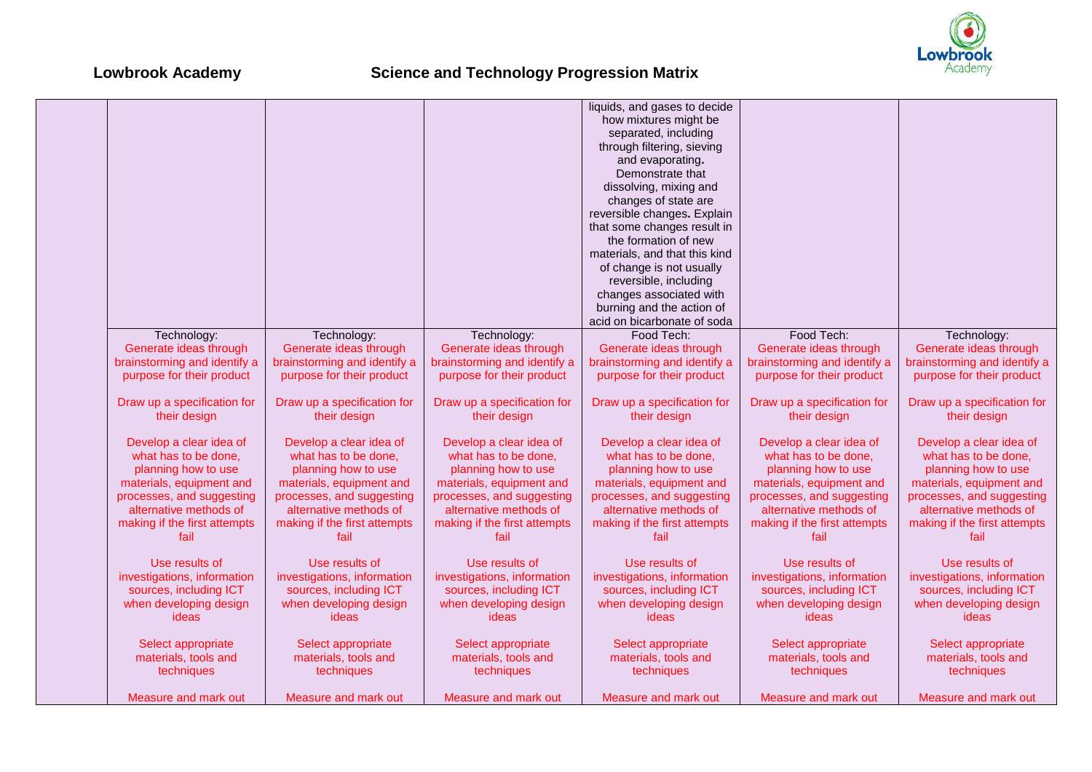

|                              |                              |                              | liquids, and gases to decide  |                              |                              |
|------------------------------|------------------------------|------------------------------|-------------------------------|------------------------------|------------------------------|
|                              |                              |                              | how mixtures might be         |                              |                              |
|                              |                              |                              | separated, including          |                              |                              |
|                              |                              |                              | through filtering, sieving    |                              |                              |
|                              |                              |                              | and evaporating.              |                              |                              |
|                              |                              |                              |                               |                              |                              |
|                              |                              |                              | Demonstrate that              |                              |                              |
|                              |                              |                              | dissolving, mixing and        |                              |                              |
|                              |                              |                              | changes of state are          |                              |                              |
|                              |                              |                              | reversible changes. Explain   |                              |                              |
|                              |                              |                              | that some changes result in   |                              |                              |
|                              |                              |                              | the formation of new          |                              |                              |
|                              |                              |                              | materials, and that this kind |                              |                              |
|                              |                              |                              | of change is not usually      |                              |                              |
|                              |                              |                              | reversible, including         |                              |                              |
|                              |                              |                              | changes associated with       |                              |                              |
|                              |                              |                              |                               |                              |                              |
|                              |                              |                              | burning and the action of     |                              |                              |
|                              |                              |                              | acid on bicarbonate of soda   |                              |                              |
| Technology:                  | Technology:                  | Technology:                  | Food Tech:                    | Food Tech:                   | Technology:                  |
| Generate ideas through       | Generate ideas through       | Generate ideas through       | Generate ideas through        | Generate ideas through       | Generate ideas through       |
| brainstorming and identify a | brainstorming and identify a | brainstorming and identify a | brainstorming and identify a  | brainstorming and identify a | brainstorming and identify a |
| purpose for their product    | purpose for their product    | purpose for their product    | purpose for their product     | purpose for their product    | purpose for their product    |
|                              |                              |                              |                               |                              |                              |
| Draw up a specification for  | Draw up a specification for  | Draw up a specification for  | Draw up a specification for   | Draw up a specification for  | Draw up a specification for  |
| their design                 | their design                 | their design                 | their design                  | their design                 | their design                 |
|                              |                              |                              |                               |                              |                              |
|                              |                              |                              |                               |                              |                              |
| Develop a clear idea of      | Develop a clear idea of      | Develop a clear idea of      | Develop a clear idea of       | Develop a clear idea of      | Develop a clear idea of      |
| what has to be done,         | what has to be done,         | what has to be done,         | what has to be done,          | what has to be done,         | what has to be done,         |
| planning how to use          | planning how to use          | planning how to use          | planning how to use           | planning how to use          | planning how to use          |
| materials, equipment and     | materials, equipment and     | materials, equipment and     | materials, equipment and      | materials, equipment and     | materials, equipment and     |
| processes, and suggesting    | processes, and suggesting    | processes, and suggesting    | processes, and suggesting     | processes, and suggesting    | processes, and suggesting    |
| alternative methods of       | alternative methods of       | alternative methods of       | alternative methods of        | alternative methods of       | alternative methods of       |
| making if the first attempts | making if the first attempts | making if the first attempts | making if the first attempts  | making if the first attempts | making if the first attempts |
| fail                         | fail                         | fail                         | fail                          | fail                         | fail                         |
|                              |                              |                              |                               |                              |                              |
| Use results of               | Use results of               | Use results of               | Use results of                | Use results of               | Use results of               |
| investigations, information  | investigations, information  | investigations, information  | investigations, information   | investigations, information  | investigations, information  |
|                              |                              |                              |                               |                              |                              |
| sources, including ICT       | sources, including ICT       | sources, including ICT       | sources, including ICT        | sources, including ICT       | sources, including ICT       |
| when developing design       | when developing design       | when developing design       | when developing design        | when developing design       | when developing design       |
| ideas                        | ideas                        | ideas                        | ideas                         | ideas                        | ideas                        |
|                              |                              |                              |                               |                              |                              |
| Select appropriate           | Select appropriate           | Select appropriate           | Select appropriate            | Select appropriate           | Select appropriate           |
| materials, tools and         | materials, tools and         | materials, tools and         | materials, tools and          | materials, tools and         | materials, tools and         |
| techniques                   | techniques                   | techniques                   | techniques                    | techniques                   | techniques                   |
|                              |                              |                              |                               |                              |                              |
| Measure and mark out         | Measure and mark out         | Measure and mark out         | Measure and mark out          | Measure and mark out         | Measure and mark out         |
|                              |                              |                              |                               |                              |                              |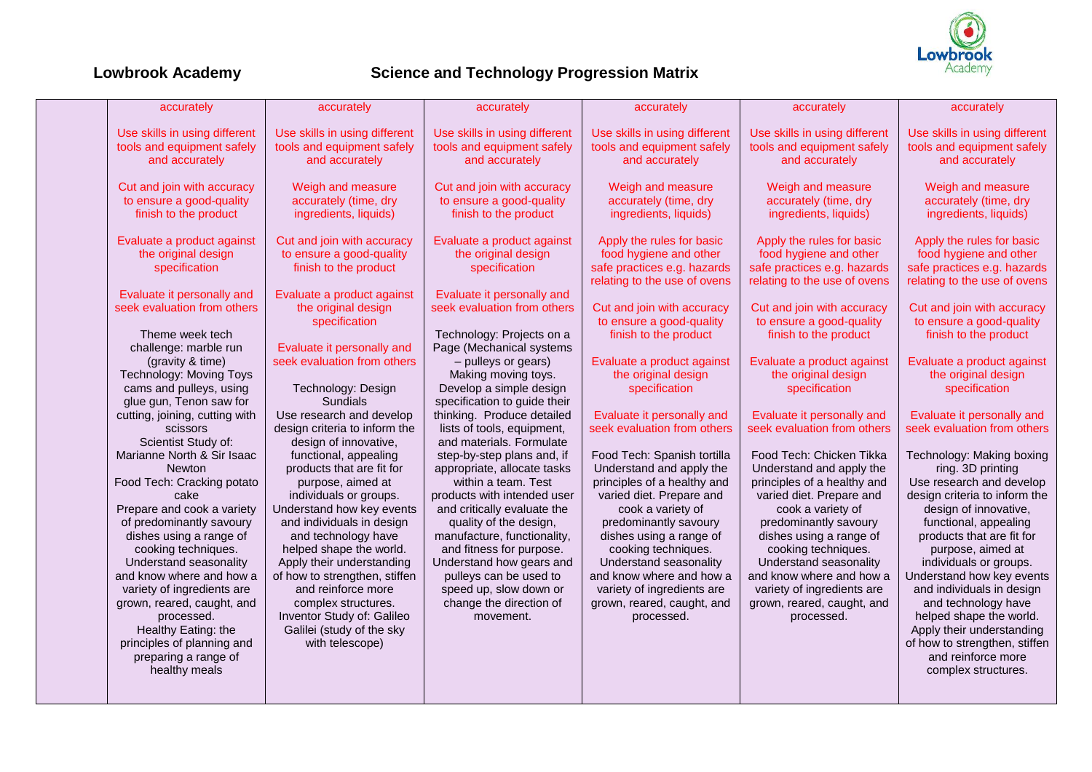

| accurately                     | accurately                    | accurately                    | accurately                    | accurately                    | accurately                    |
|--------------------------------|-------------------------------|-------------------------------|-------------------------------|-------------------------------|-------------------------------|
| Use skills in using different  | Use skills in using different | Use skills in using different | Use skills in using different | Use skills in using different | Use skills in using different |
| tools and equipment safely     | tools and equipment safely    | tools and equipment safely    | tools and equipment safely    | tools and equipment safely    | tools and equipment safely    |
| and accurately                 | and accurately                | and accurately                | and accurately                | and accurately                | and accurately                |
|                                |                               |                               |                               |                               |                               |
| Cut and join with accuracy     | Weigh and measure             | Cut and join with accuracy    | Weigh and measure             | Weigh and measure             | Weigh and measure             |
| to ensure a good-quality       | accurately (time, dry         | to ensure a good-quality      | accurately (time, dry         | accurately (time, dry         | accurately (time, dry         |
| finish to the product          | ingredients, liquids)         | finish to the product         | ingredients, liquids)         | ingredients, liquids)         | ingredients, liquids)         |
| Evaluate a product against     | Cut and join with accuracy    | Evaluate a product against    | Apply the rules for basic     | Apply the rules for basic     | Apply the rules for basic     |
| the original design            | to ensure a good-quality      | the original design           | food hygiene and other        | food hygiene and other        | food hygiene and other        |
|                                | finish to the product         | specification                 | safe practices e.g. hazards   | safe practices e.g. hazards   | safe practices e.g. hazards   |
| specification                  |                               |                               |                               |                               |                               |
| Evaluate it personally and     | Evaluate a product against    | Evaluate it personally and    | relating to the use of ovens  | relating to the use of ovens  | relating to the use of ovens  |
| seek evaluation from others    | the original design           | seek evaluation from others   | Cut and join with accuracy    | Cut and join with accuracy    | Cut and join with accuracy    |
|                                | specification                 |                               | to ensure a good-quality      | to ensure a good-quality      | to ensure a good-quality      |
| Theme week tech                |                               | Technology: Projects on a     | finish to the product         | finish to the product         | finish to the product         |
| challenge: marble run          | Evaluate it personally and    | Page (Mechanical systems      |                               |                               |                               |
|                                | seek evaluation from others   |                               |                               | Evaluate a product against    | Evaluate a product against    |
| (gravity & time)               |                               | - pulleys or gears)           | Evaluate a product against    |                               |                               |
| Technology: Moving Toys        |                               | Making moving toys.           | the original design           | the original design           | the original design           |
| cams and pulleys, using        | Technology: Design            | Develop a simple design       | specification                 | specification                 | specification                 |
| glue gun, Tenon saw for        | <b>Sundials</b>               | specification to guide their  |                               |                               |                               |
| cutting, joining, cutting with | Use research and develop      | thinking. Produce detailed    | Evaluate it personally and    | Evaluate it personally and    | Evaluate it personally and    |
| scissors                       | design criteria to inform the | lists of tools, equipment,    | seek evaluation from others   | seek evaluation from others   | seek evaluation from others   |
| Scientist Study of:            | design of innovative,         | and materials. Formulate      |                               |                               |                               |
| Marianne North & Sir Isaac     | functional, appealing         | step-by-step plans and, if    | Food Tech: Spanish tortilla   | Food Tech: Chicken Tikka      | Technology: Making boxing     |
| <b>Newton</b>                  | products that are fit for     | appropriate, allocate tasks   | Understand and apply the      | Understand and apply the      | ring. 3D printing             |
| Food Tech: Cracking potato     | purpose, aimed at             | within a team. Test           | principles of a healthy and   | principles of a healthy and   | Use research and develop      |
| cake                           | individuals or groups.        | products with intended user   | varied diet. Prepare and      | varied diet. Prepare and      | design criteria to inform the |
| Prepare and cook a variety     | Understand how key events     | and critically evaluate the   | cook a variety of             | cook a variety of             | design of innovative,         |
| of predominantly savoury       | and individuals in design     | quality of the design,        | predominantly savoury         | predominantly savoury         | functional, appealing         |
| dishes using a range of        | and technology have           | manufacture, functionality,   | dishes using a range of       | dishes using a range of       | products that are fit for     |
| cooking techniques.            | helped shape the world.       | and fitness for purpose.      | cooking techniques.           | cooking techniques.           | purpose, aimed at             |
| Understand seasonality         | Apply their understanding     | Understand how gears and      | Understand seasonality        | Understand seasonality        | individuals or groups.        |
| and know where and how a       | of how to strengthen, stiffen | pulleys can be used to        | and know where and how a      | and know where and how a      | Understand how key events     |
| variety of ingredients are     | and reinforce more            | speed up, slow down or        | variety of ingredients are    | variety of ingredients are    | and individuals in design     |
| grown, reared, caught, and     | complex structures.           | change the direction of       | grown, reared, caught, and    | grown, reared, caught, and    | and technology have           |
| processed.                     | Inventor Study of: Galileo    | movement.                     | processed.                    | processed.                    | helped shape the world.       |
| Healthy Eating: the            | Galilei (study of the sky     |                               |                               |                               | Apply their understanding     |
| principles of planning and     | with telescope)               |                               |                               |                               | of how to strengthen, stiffen |
| preparing a range of           |                               |                               |                               |                               | and reinforce more            |
| healthy meals                  |                               |                               |                               |                               | complex structures.           |
|                                |                               |                               |                               |                               |                               |
|                                |                               |                               |                               |                               |                               |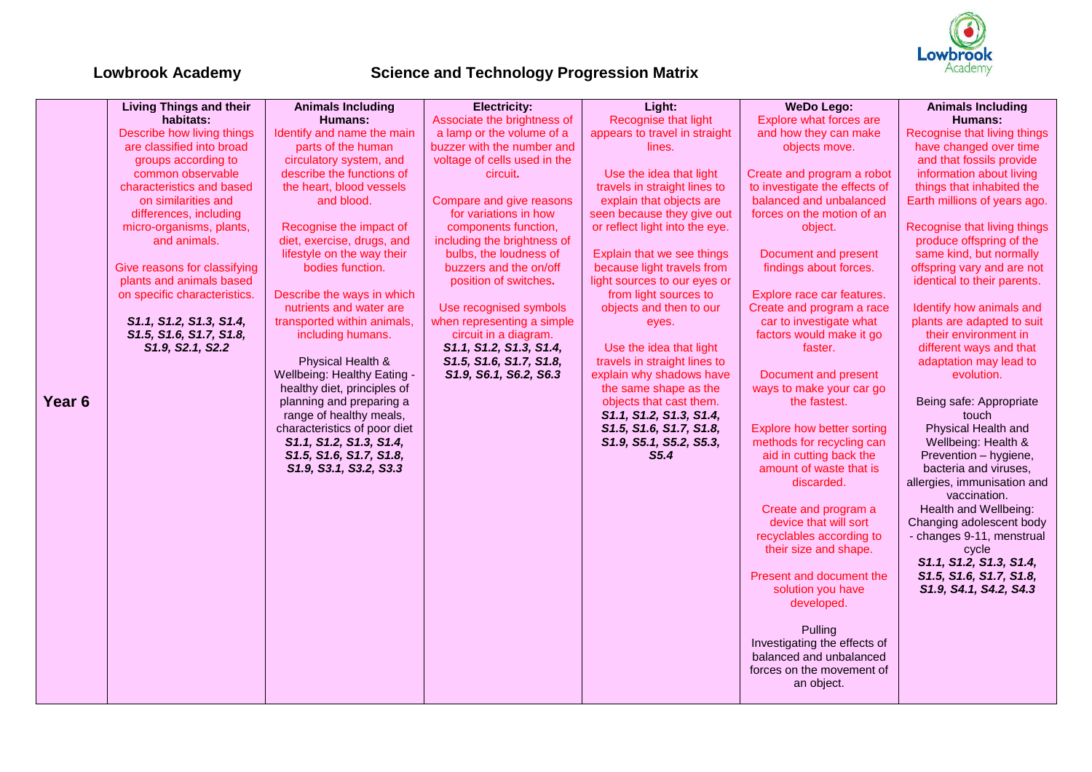

|        | <b>Living Things and their</b> | <b>Animals Including</b>                               | <b>Electricity:</b>                                  | Light:                         | <b>WeDo Lego:</b>                                       | <b>Animals Including</b>                               |
|--------|--------------------------------|--------------------------------------------------------|------------------------------------------------------|--------------------------------|---------------------------------------------------------|--------------------------------------------------------|
|        | habitats:                      | Humans:                                                | Associate the brightness of                          | Recognise that light           | Explore what forces are                                 | <b>Humans:</b>                                         |
|        | Describe how living things     | Identify and name the main                             | a lamp or the volume of a                            | appears to travel in straight  | and how they can make                                   | Recognise that living things                           |
|        | are classified into broad      | parts of the human                                     | buzzer with the number and                           | lines.                         | objects move.                                           | have changed over time                                 |
|        | groups according to            | circulatory system, and                                | voltage of cells used in the                         |                                |                                                         | and that fossils provide                               |
|        | common observable              | describe the functions of                              | circuit.                                             | Use the idea that light        | Create and program a robot                              | information about living                               |
|        | characteristics and based      | the heart, blood vessels                               |                                                      | travels in straight lines to   | to investigate the effects of                           | things that inhabited the                              |
|        | on similarities and            | and blood.                                             | Compare and give reasons                             | explain that objects are       | balanced and unbalanced                                 | Earth millions of years ago.                           |
|        | differences, including         |                                                        | for variations in how                                | seen because they give out     | forces on the motion of an                              |                                                        |
|        | micro-organisms, plants,       | Recognise the impact of                                | components function,                                 | or reflect light into the eye. | object.                                                 | Recognise that living things                           |
|        | and animals.                   | diet, exercise, drugs, and                             | including the brightness of                          |                                |                                                         | produce offspring of the                               |
|        |                                | lifestyle on the way their                             | bulbs, the loudness of                               | Explain that we see things     | Document and present                                    | same kind, but normally                                |
|        | Give reasons for classifying   | bodies function.                                       | buzzers and the on/off                               | because light travels from     | findings about forces.                                  | offspring vary and are not                             |
|        | plants and animals based       |                                                        | position of switches.                                | light sources to our eyes or   |                                                         | identical to their parents.                            |
|        | on specific characteristics.   | Describe the ways in which                             |                                                      | from light sources to          | Explore race car features.                              |                                                        |
|        | S1.1, S1.2, S1.3, S1.4,        | nutrients and water are<br>transported within animals, | Use recognised symbols<br>when representing a simple | objects and then to our        | Create and program a race<br>car to investigate what    | Identify how animals and<br>plants are adapted to suit |
|        | S1.5, S1.6, S1.7, S1.8,        | including humans.                                      | circuit in a diagram.                                | eyes.                          | factors would make it go                                | their environment in                                   |
|        | S1.9, S2.1, S2.2               |                                                        | S1.1, S1.2, S1.3, S1.4,                              | Use the idea that light        | faster.                                                 | different ways and that                                |
|        |                                | Physical Health &                                      | S1.5, S1.6, S1.7, S1.8,                              | travels in straight lines to   |                                                         | adaptation may lead to                                 |
|        |                                | Wellbeing: Healthy Eating -                            | S1.9, S6.1, S6.2, S6.3                               | explain why shadows have       | Document and present                                    | evolution.                                             |
|        |                                | healthy diet, principles of                            |                                                      | the same shape as the          | ways to make your car go                                |                                                        |
| Year 6 |                                | planning and preparing a                               |                                                      | objects that cast them.        | the fastest.                                            | Being safe: Appropriate                                |
|        |                                | range of healthy meals,                                |                                                      | S1.1, S1.2, S1.3, S1.4,        |                                                         | touch                                                  |
|        |                                | characteristics of poor diet                           |                                                      | S1.5, S1.6, S1.7, S1.8,        | <b>Explore how better sorting</b>                       | Physical Health and                                    |
|        |                                | S1.1, S1.2, S1.3, S1.4,                                |                                                      | S1.9, S5.1, S5.2, S5.3,        | methods for recycling can                               | Wellbeing: Health &                                    |
|        |                                | S1.5, S1.6, S1.7, S1.8,                                |                                                      | S <sub>5.4</sub>               | aid in cutting back the                                 | Prevention - hygiene,                                  |
|        |                                | S1.9, S3.1, S3.2, S3.3                                 |                                                      |                                | amount of waste that is                                 | bacteria and viruses,                                  |
|        |                                |                                                        |                                                      |                                | discarded.                                              | allergies, immunisation and                            |
|        |                                |                                                        |                                                      |                                |                                                         | vaccination.                                           |
|        |                                |                                                        |                                                      |                                | Create and program a                                    | Health and Wellbeing:                                  |
|        |                                |                                                        |                                                      |                                | device that will sort                                   | Changing adolescent body                               |
|        |                                |                                                        |                                                      |                                | recyclables according to                                | - changes 9-11, menstrual                              |
|        |                                |                                                        |                                                      |                                | their size and shape.                                   | cycle                                                  |
|        |                                |                                                        |                                                      |                                |                                                         | S1.1, S1.2, S1.3, S1.4,                                |
|        |                                |                                                        |                                                      |                                | Present and document the                                | S1.5, S1.6, S1.7, S1.8,                                |
|        |                                |                                                        |                                                      |                                | solution you have                                       | S1.9, S4.1, S4.2, S4.3                                 |
|        |                                |                                                        |                                                      |                                | developed.                                              |                                                        |
|        |                                |                                                        |                                                      |                                |                                                         |                                                        |
|        |                                |                                                        |                                                      |                                | Pulling                                                 |                                                        |
|        |                                |                                                        |                                                      |                                | Investigating the effects of<br>balanced and unbalanced |                                                        |
|        |                                |                                                        |                                                      |                                | forces on the movement of                               |                                                        |
|        |                                |                                                        |                                                      |                                | an object.                                              |                                                        |
|        |                                |                                                        |                                                      |                                |                                                         |                                                        |
|        |                                |                                                        |                                                      |                                |                                                         |                                                        |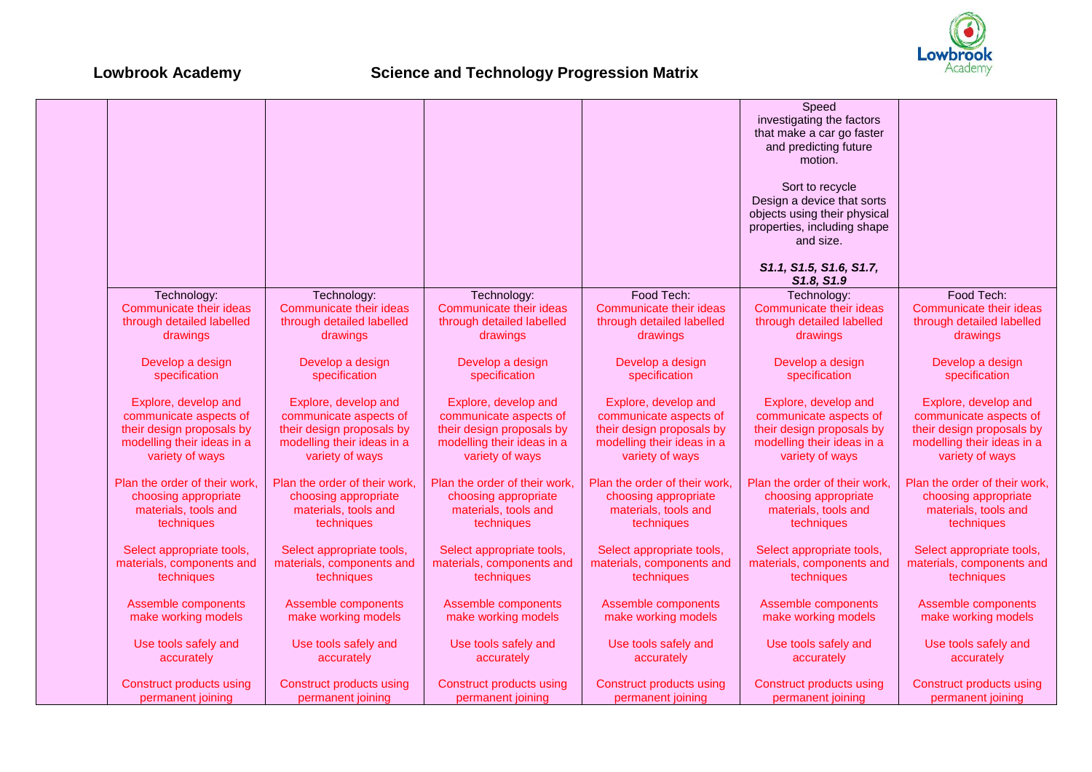

|                                 |                               |                               |                                 | Speed<br>investigating the factors<br>that make a car go faster<br>and predicting future<br>motion.<br>Sort to recycle<br>Design a device that sorts |                                 |
|---------------------------------|-------------------------------|-------------------------------|---------------------------------|------------------------------------------------------------------------------------------------------------------------------------------------------|---------------------------------|
|                                 |                               |                               |                                 | objects using their physical<br>properties, including shape<br>and size.<br>S1.1, S1.5, S1.6, S1.7,                                                  |                                 |
|                                 |                               |                               |                                 | S1.8, S1.9                                                                                                                                           |                                 |
| Technology:                     | Technology:                   | Technology:                   | Food Tech:                      | Technology:                                                                                                                                          | Food Tech:                      |
| Communicate their ideas         | Communicate their ideas       | Communicate their ideas       | Communicate their ideas         | Communicate their ideas                                                                                                                              | Communicate their ideas         |
| through detailed labelled       | through detailed labelled     | through detailed labelled     | through detailed labelled       | through detailed labelled                                                                                                                            | through detailed labelled       |
| drawings                        | drawings                      | drawings                      | drawings                        | drawings                                                                                                                                             | drawings                        |
| Develop a design                | Develop a design              | Develop a design              | Develop a design                | Develop a design                                                                                                                                     | Develop a design                |
| specification                   | specification                 | specification                 | specification                   | specification                                                                                                                                        | specification                   |
| Explore, develop and            | Explore, develop and          | Explore, develop and          | Explore, develop and            | Explore, develop and                                                                                                                                 | Explore, develop and            |
| communicate aspects of          | communicate aspects of        | communicate aspects of        | communicate aspects of          | communicate aspects of                                                                                                                               | communicate aspects of          |
| their design proposals by       | their design proposals by     | their design proposals by     | their design proposals by       | their design proposals by                                                                                                                            | their design proposals by       |
| modelling their ideas in a      | modelling their ideas in a    | modelling their ideas in a    | modelling their ideas in a      | modelling their ideas in a                                                                                                                           | modelling their ideas in a      |
| variety of ways                 | variety of ways               | variety of ways               | variety of ways                 | variety of ways                                                                                                                                      | variety of ways                 |
| Plan the order of their work,   | Plan the order of their work, | Plan the order of their work, | Plan the order of their work,   | Plan the order of their work.                                                                                                                        | Plan the order of their work,   |
| choosing appropriate            | choosing appropriate          | choosing appropriate          | choosing appropriate            | choosing appropriate                                                                                                                                 | choosing appropriate            |
| materials, tools and            | materials, tools and          | materials, tools and          | materials, tools and            | materials, tools and                                                                                                                                 | materials, tools and            |
| techniques                      | techniques                    | techniques                    | techniques                      | techniques                                                                                                                                           | techniques                      |
| Select appropriate tools,       | Select appropriate tools,     | Select appropriate tools,     | Select appropriate tools,       | Select appropriate tools,                                                                                                                            | Select appropriate tools,       |
| materials, components and       | materials, components and     | materials, components and     | materials, components and       | materials, components and                                                                                                                            | materials, components and       |
| techniques                      | techniques                    | techniques                    | techniques                      | techniques                                                                                                                                           | techniques                      |
| Assemble components             | Assemble components           | Assemble components           | Assemble components             | Assemble components                                                                                                                                  | Assemble components             |
| make working models             | make working models           | make working models           | make working models             | make working models                                                                                                                                  | make working models             |
| Use tools safely and            | Use tools safely and          | Use tools safely and          | Use tools safely and            | Use tools safely and                                                                                                                                 | Use tools safely and            |
| accurately                      | accurately                    | accurately                    | accurately                      | accurately                                                                                                                                           | accurately                      |
| <b>Construct products using</b> | Construct products using      | Construct products using      | <b>Construct products using</b> | <b>Construct products using</b>                                                                                                                      | <b>Construct products using</b> |
| permanent joining               | permanent joining             | permanent joining             | permanent joining               | permanent joining                                                                                                                                    | permanent joining               |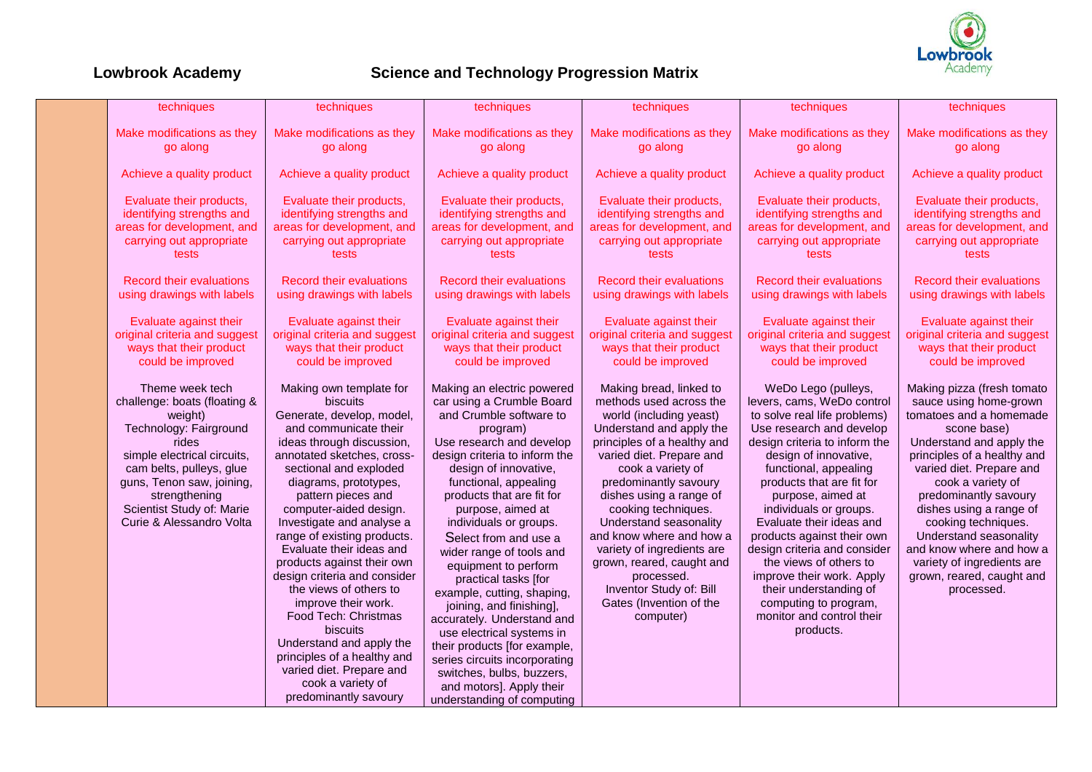

| Make modifications as they<br>Make modifications as they<br>go along<br>go along<br>Achieve a quality product<br>Achieve a quality product<br>Evaluate their products,<br>Evaluate their products,<br>identifying strengths and<br>identifying strengths and<br>areas for development, and<br>areas for development, and                                                                                                                                                                                                                                                                                                                                                                                                                                                                                                                                                                                                                           |
|----------------------------------------------------------------------------------------------------------------------------------------------------------------------------------------------------------------------------------------------------------------------------------------------------------------------------------------------------------------------------------------------------------------------------------------------------------------------------------------------------------------------------------------------------------------------------------------------------------------------------------------------------------------------------------------------------------------------------------------------------------------------------------------------------------------------------------------------------------------------------------------------------------------------------------------------------|
|                                                                                                                                                                                                                                                                                                                                                                                                                                                                                                                                                                                                                                                                                                                                                                                                                                                                                                                                                    |
|                                                                                                                                                                                                                                                                                                                                                                                                                                                                                                                                                                                                                                                                                                                                                                                                                                                                                                                                                    |
| carrying out appropriate<br>carrying out appropriate<br>tests<br>tests                                                                                                                                                                                                                                                                                                                                                                                                                                                                                                                                                                                                                                                                                                                                                                                                                                                                             |
| <b>Record their evaluations</b><br><b>Record their evaluations</b><br>using drawings with labels<br>using drawings with labels                                                                                                                                                                                                                                                                                                                                                                                                                                                                                                                                                                                                                                                                                                                                                                                                                     |
| Evaluate against their<br>Evaluate against their<br>original criteria and suggest<br>original criteria and suggest<br>ways that their product<br>ways that their product<br>could be improved<br>could be improved                                                                                                                                                                                                                                                                                                                                                                                                                                                                                                                                                                                                                                                                                                                                 |
| WeDo Lego (pulleys,<br>Making pizza (fresh tomato<br>levers, cams, WeDo control<br>sauce using home-grown<br>to solve real life problems)<br>tomatoes and a homemade<br>Use research and develop<br>scone base)<br>design criteria to inform the<br>Understand and apply the<br>design of innovative,<br>principles of a healthy and<br>varied diet. Prepare and<br>functional, appealing<br>products that are fit for<br>cook a variety of<br>predominantly savoury<br>purpose, aimed at<br>dishes using a range of<br>individuals or groups.<br>Evaluate their ideas and<br>cooking techniques.<br>Understand seasonality<br>products against their own<br>and know where and how a<br>design criteria and consider<br>the views of others to<br>variety of ingredients are<br>improve their work. Apply<br>grown, reared, caught and<br>their understanding of<br>processed.<br>computing to program,<br>monitor and control their<br>products. |
|                                                                                                                                                                                                                                                                                                                                                                                                                                                                                                                                                                                                                                                                                                                                                                                                                                                                                                                                                    |